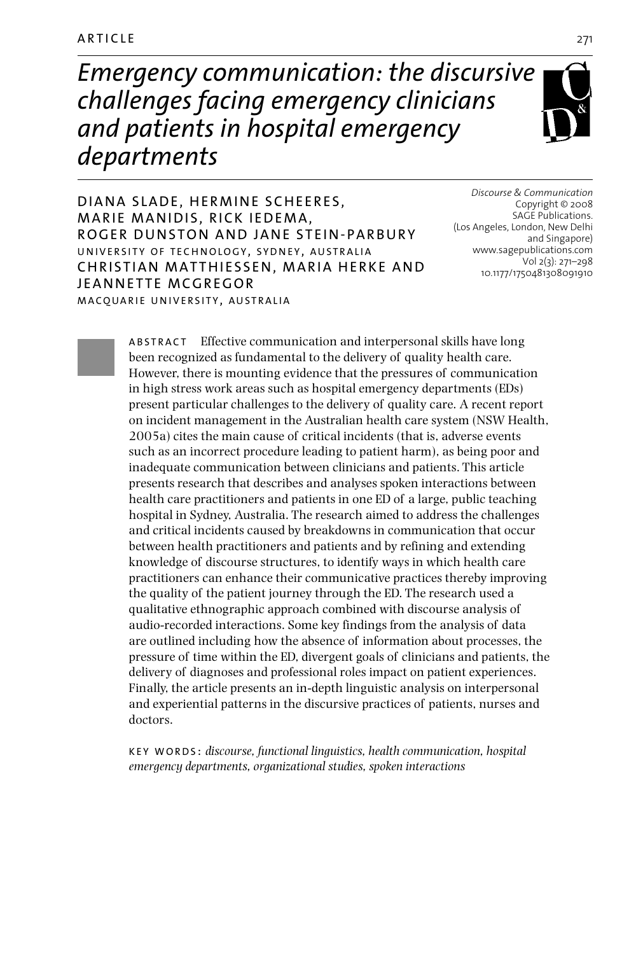# *Emergency communication: the discursive challenges facing emergency clinicians and patients in hospital emergency departments*

DIANA SLADE, HERMINE SCHEERES, MARIE MANIDIS, RICK IEDEMA, ROGER DUNSTON AND JANE STEIN-PARBURY UNIVERSITY OF TECHNOLOGY, SYDNEY, AUSTRALIA CHRISTIAN MATTHIESSEN, MARIA HERKE AND JEANNETTE MCGREGOR MACQUARIE UNIVERSITY, AUSTRALIA

*Discourse & Communication* Copyright © 2008 SAGE Publications. (Los Angeles, London, New Delhi and Singapore) www.sagepublications.com Vol 2(3): 271–298 10.1177/1750481308091910

ABSTRACT Effective communication and interpersonal skills have long been recognized as fundamental to the delivery of quality health care. However, there is mounting evidence that the pressures of communication in high stress work areas such as hospital emergency departments (EDs) present particular challenges to the delivery of quality care. A recent report on incident management in the Australian health care system (NSW Health, 2005a) cites the main cause of critical incidents (that is, adverse events such as an incorrect procedure leading to patient harm), as being poor and inadequate communication between clinicians and patients. This article presents research that describes and analyses spoken interactions between health care practitioners and patients in one ED of a large, public teaching hospital in Sydney, Australia. The research aimed to address the challenges and critical incidents caused by breakdowns in communication that occur between health practitioners and patients and by refining and extending knowledge of discourse structures, to identify ways in which health care practitioners can enhance their communicative practices thereby improving the quality of the patient journey through the ED. The research used a qualitative ethnographic approach combined with discourse analysis of audio-recorded interactions. Some key findings from the analysis of data are outlined including how the absence of information about processes, the pressure of time within the ED, divergent goals of clinicians and patients, the delivery of diagnoses and professional roles impact on patient experiences. Finally, the article presents an in-depth linguistic analysis on interpersonal and experiential patterns in the discursive practices of patients, nurses and doctors.

KEY WORDS : *discourse, functional linguistics, health communication, hospital emergency departments, organizational studies, spoken interactions*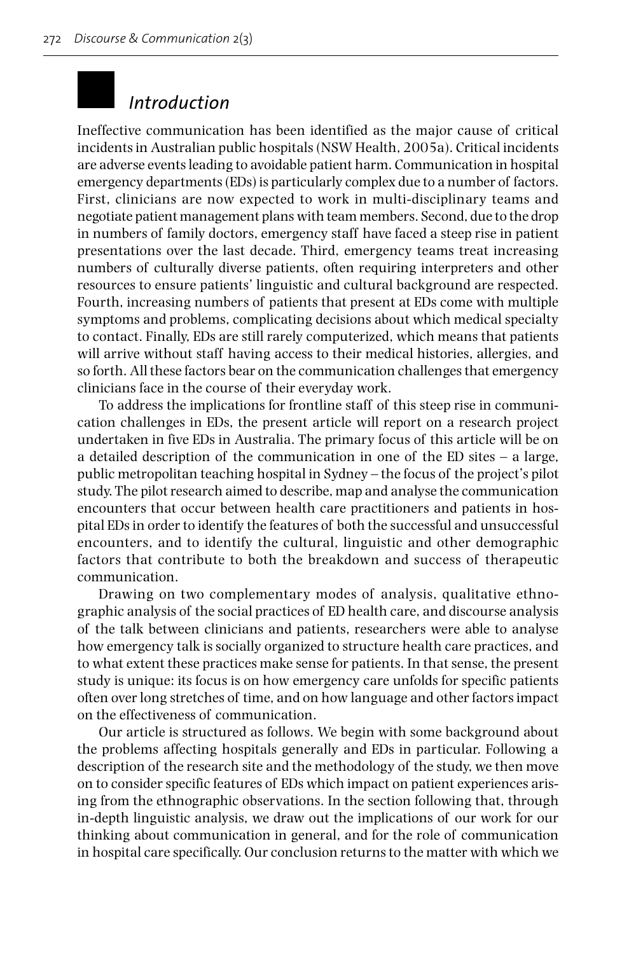## *Introduction*

Ineffective communication has been identified as the major cause of critical incidents in Australian public hospitals (NSW Health, 2005a). Critical incidents are adverse events leading to avoidable patient harm. Communication in hospital emergency departments (EDs) is particularly complex due to a number of factors. First, clinicians are now expected to work in multi-disciplinary teams and negotiate patient management plans with team members. Second, due to the drop in numbers of family doctors, emergency staff have faced a steep rise in patient presentations over the last decade. Third, emergency teams treat increasing numbers of culturally diverse patients, often requiring interpreters and other resources to ensure patients' linguistic and cultural background are respected. Fourth, increasing numbers of patients that present at EDs come with multiple symptoms and problems, complicating decisions about which medical specialty to contact. Finally, EDs are still rarely computerized, which means that patients will arrive without staff having access to their medical histories, allergies, and so forth. All these factors bear on the communication challenges that emergency clinicians face in the course of their everyday work.

To address the implications for frontline staff of this steep rise in communication challenges in EDs, the present article will report on a research project undertaken in five EDs in Australia. The primary focus of this article will be on a detailed description of the communication in one of the ED sites – a large, public metropolitan teaching hospital in Sydney – the focus of the project's pilot study. The pilot research aimed to describe, map and analyse the communication encounters that occur between health care practitioners and patients in hospital EDs in order to identify the features of both the successful and unsuccessful encounters, and to identify the cultural, linguistic and other demographic factors that contribute to both the breakdown and success of therapeutic communication.

Drawing on two complementary modes of analysis, qualitative ethnographic analysis of the social practices of ED health care, and discourse analysis of the talk between clinicians and patients, researchers were able to analyse how emergency talk is socially organized to structure health care practices, and to what extent these practices make sense for patients. In that sense, the present study is unique: its focus is on how emergency care unfolds for specific patients often over long stretches of time, and on how language and other factors impact on the effectiveness of communication.

Our article is structured as follows. We begin with some background about the problems affecting hospitals generally and EDs in particular. Following a description of the research site and the methodology of the study, we then move on to consider specific features of EDs which impact on patient experiences arising from the ethnographic observations. In the section following that, through in-depth linguistic analysis, we draw out the implications of our work for our thinking about communication in general, and for the role of communication in hospital care specifically. Our conclusion returns to the matter with which we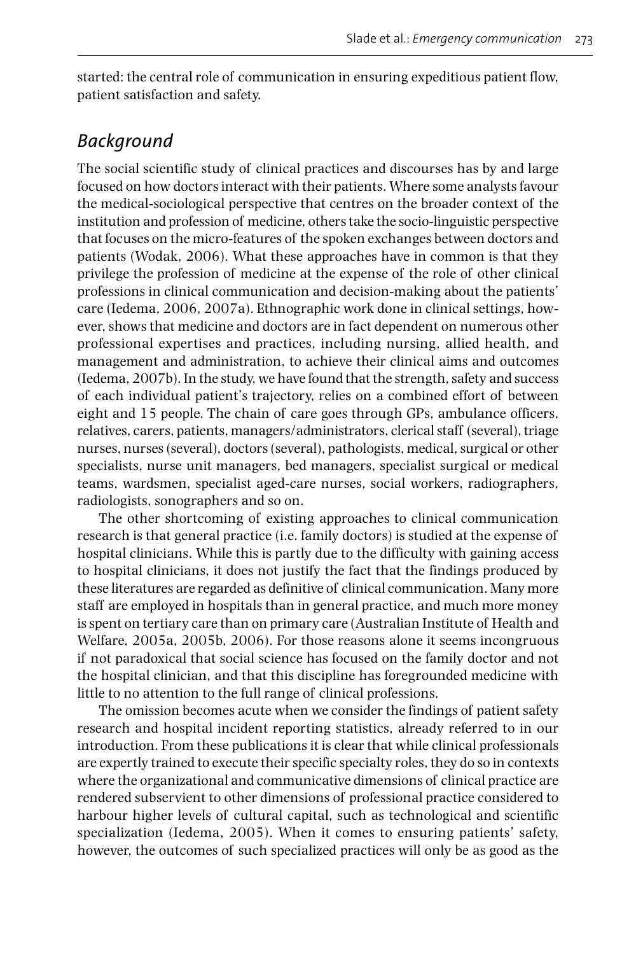started: the central role of communication in ensuring expeditious patient flow, patient satisfaction and safety.

## *Background*

The social scientific study of clinical practices and discourses has by and large focused on how doctors interact with their patients. Where some analysts favour the medical-sociological perspective that centres on the broader context of the institution and profession of medicine, others take the socio-linguistic perspective that focuses on the micro-features of the spoken exchanges between doctors and patients (Wodak, 2006). What these approaches have in common is that they privilege the profession of medicine at the expense of the role of other clinical professions in clinical communication and decision-making about the patients' care (Iedema, 2006, 2007a). Ethnographic work done in clinical settings, however, shows that medicine and doctors are in fact dependent on numerous other professional expertises and practices, including nursing, allied health, and management and administration, to achieve their clinical aims and outcomes (Iedema, 2007b). In the study, we have found that the strength, safety and success of each individual patient's trajectory, relies on a combined effort of between eight and 15 people. The chain of care goes through GPs, ambulance officers, relatives, carers, patients, managers/administrators, clerical staff (several), triage nurses, nurses (several), doctors (several), pathologists, medical, surgical or other specialists, nurse unit managers, bed managers, specialist surgical or medical teams, wardsmen, specialist aged-care nurses, social workers, radiographers, radiologists, sonographers and so on.

The other shortcoming of existing approaches to clinical communication research is that general practice (i.e. family doctors) is studied at the expense of hospital clinicians. While this is partly due to the difficulty with gaining access to hospital clinicians, it does not justify the fact that the findings produced by these literatures are regarded as definitive of clinical communication. Many more staff are employed in hospitals than in general practice, and much more money is spent on tertiary care than on primary care (Australian Institute of Health and Welfare, 2005a, 2005b, 2006). For those reasons alone it seems incongruous if not paradoxical that social science has focused on the family doctor and not the hospital clinician, and that this discipline has foregrounded medicine with little to no attention to the full range of clinical professions.

The omission becomes acute when we consider the findings of patient safety research and hospital incident reporting statistics, already referred to in our introduction. From these publications it is clear that while clinical professionals are expertly trained to execute their specific specialty roles, they do so in contexts where the organizational and communicative dimensions of clinical practice are rendered subservient to other dimensions of professional practice considered to harbour higher levels of cultural capital, such as technological and scientific specialization (Iedema, 2005). When it comes to ensuring patients' safety, however, the outcomes of such specialized practices will only be as good as the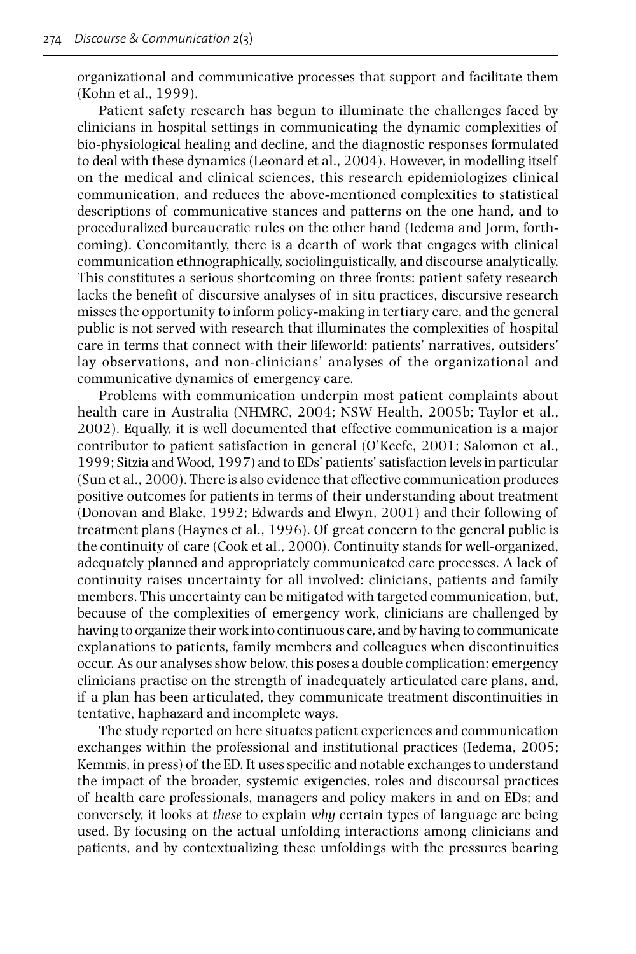organizational and communicative processes that support and facilitate them (Kohn et al., 1999).

Patient safety research has begun to illuminate the challenges faced by clinicians in hospital settings in communicating the dynamic complexities of bio-physiological healing and decline, and the diagnostic responses formulated to deal with these dynamics (Leonard et al., 2004). However, in modelling itself on the medical and clinical sciences, this research epidemiologizes clinical communication, and reduces the above-mentioned complexities to statistical descriptions of communicative stances and patterns on the one hand, and to proceduralized bureaucratic rules on the other hand (Iedema and Jorm, forthcoming). Concomitantly, there is a dearth of work that engages with clinical communication ethnographically, sociolinguistically, and discourse analytically. This constitutes a serious shortcoming on three fronts: patient safety research lacks the benefit of discursive analyses of in situ practices, discursive research misses the opportunity to inform policy-making in tertiary care, and the general public is not served with research that illuminates the complexities of hospital care in terms that connect with their lifeworld: patients' narratives, outsiders' lay observations, and non-clinicians' analyses of the organizational and communicative dynamics of emergency care.

Problems with communication underpin most patient complaints about health care in Australia (NHMRC, 2004; NSW Health, 2005b; Taylor et al., 2002). Equally, it is well documented that effective communication is a major contributor to patient satisfaction in general (O'Keefe, 2001; Salomon et al., 1999; Sitzia and Wood, 1997) and to EDs' patients' satisfaction levels in particular (Sun et al., 2000). There is also evidence that effective communication produces positive outcomes for patients in terms of their understanding about treatment (Donovan and Blake, 1992; Edwards and Elwyn, 2001) and their following of treatment plans (Haynes et al., 1996). Of great concern to the general public is the continuity of care (Cook et al., 2000). Continuity stands for well-organized, adequately planned and appropriately communicated care processes. A lack of continuity raises uncertainty for all involved: clinicians, patients and family members. This uncertainty can be mitigated with targeted communication, but, because of the complexities of emergency work, clinicians are challenged by having to organize their work into continuous care, and by having to communicate explanations to patients, family members and colleagues when discontinuities occur. As our analyses show below, this poses a double complication: emergency clinicians practise on the strength of inadequately articulated care plans, and, if a plan has been articulated, they communicate treatment discontinuities in tentative, haphazard and incomplete ways.

The study reported on here situates patient experiences and communication exchanges within the professional and institutional practices (Iedema, 2005; Kemmis, in press) of the ED. It uses specific and notable exchanges to understand the impact of the broader, systemic exigencies, roles and discoursal practices of health care professionals, managers and policy makers in and on EDs; and conversely, it looks at *these* to explain *why* certain types of language are being used. By focusing on the actual unfolding interactions among clinicians and patients, and by contextualizing these unfoldings with the pressures bearing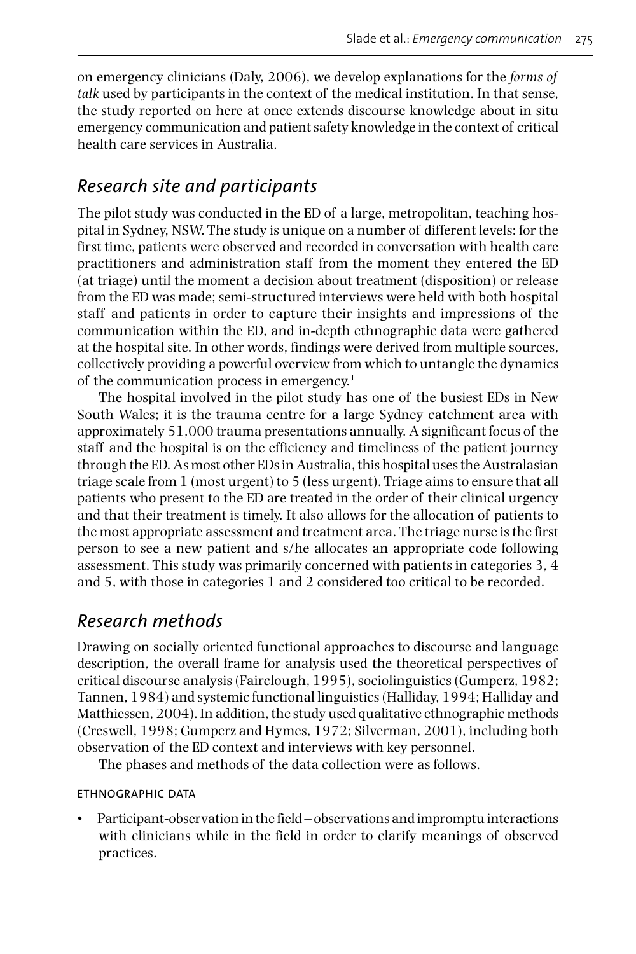on emergency clinicians (Daly, 2006), we develop explanations for the *forms of talk* used by participants in the context of the medical institution. In that sense, the study reported on here at once extends discourse knowledge about in situ emergency communication and patient safety knowledge in the context of critical health care services in Australia.

## *Research site and participants*

The pilot study was conducted in the ED of a large, metropolitan, teaching hospital in Sydney, NSW. The study is unique on a number of different levels: for the first time, patients were observed and recorded in conversation with health care practitioners and administration staff from the moment they entered the ED (at triage) until the moment a decision about treatment (disposition) or release from the ED was made; semi-structured interviews were held with both hospital staff and patients in order to capture their insights and impressions of the communication within the ED, and in-depth ethnographic data were gathered at the hospital site. In other words, findings were derived from multiple sources, collectively providing a powerful overview from which to untangle the dynamics of the communication process in emergency.<sup>1</sup>

The hospital involved in the pilot study has one of the busiest EDs in New South Wales; it is the trauma centre for a large Sydney catchment area with approximately 51,000 trauma presentations annually. A significant focus of the staff and the hospital is on the efficiency and timeliness of the patient journey through the ED. As most other EDs in Australia, this hospital uses the Australasian triage scale from 1 (most urgent) to 5 (less urgent). Triage aims to ensure that all patients who present to the ED are treated in the order of their clinical urgency and that their treatment is timely. It also allows for the allocation of patients to the most appropriate assessment and treatment area. The triage nurse is the first person to see a new patient and s/he allocates an appropriate code following assessment. This study was primarily concerned with patients in categories 3, 4 and 5, with those in categories 1 and 2 considered too critical to be recorded.

## *Research methods*

Drawing on socially oriented functional approaches to discourse and language description, the overall frame for analysis used the theoretical perspectives of critical discourse analysis (Fairclough, 1995), sociolinguistics (Gumperz, 1982; Tannen, 1984) and systemic functional linguistics (Halliday, 1994; Halliday and Matthiessen, 2004). In addition, the study used qualitative ethnographic methods (Creswell, 1998; Gumperz and Hymes, 1972; Silverman, 2001), including both observation of the ED context and interviews with key personnel.

The phases and methods of the data collection were as follows.

ETHNOGRAPHIC DATA

• Participant-observation in the field – observations and impromptu interactions with clinicians while in the field in order to clarify meanings of observed practices.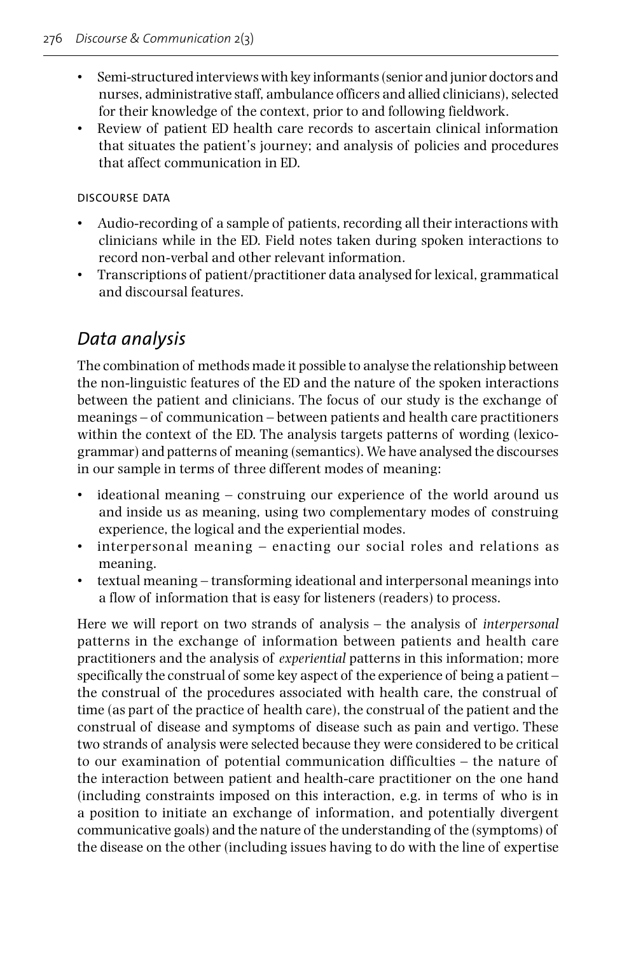- Semi-structured interviews with key informants (senior and junior doctors and nurses, administrative staff, ambulance officers and allied clinicians), selected for their knowledge of the context, prior to and following fieldwork.
- Review of patient ED health care records to ascertain clinical information that situates the patient's journey; and analysis of policies and procedures that affect communication in ED.

#### DISCOURSE DATA

- Audio-recording of a sample of patients, recording all their interactions with clinicians while in the ED. Field notes taken during spoken interactions to record non-verbal and other relevant information.
- Transcriptions of patient/practitioner data analysed for lexical, grammatical and discoursal features.

## *Data analysis*

The combination of methods made it possible to analyse the relationship between the non-linguistic features of the ED and the nature of the spoken interactions between the patient and clinicians. The focus of our study is the exchange of meanings – of communication – between patients and health care practitioners within the context of the ED. The analysis targets patterns of wording (lexicogrammar) and patterns of meaning (semantics). We have analysed the discourses in our sample in terms of three different modes of meaning:

- ideational meaning construing our experience of the world around us and inside us as meaning, using two complementary modes of construing experience, the logical and the experiential modes.
- interpersonal meaning enacting our social roles and relations as meaning.
- textual meaning transforming ideational and interpersonal meanings into a flow of information that is easy for listeners (readers) to process.

Here we will report on two strands of analysis – the analysis of *interpersonal* patterns in the exchange of information between patients and health care practitioners and the analysis of *experiential* patterns in this information; more specifically the construal of some key aspect of the experience of being a patient – the construal of the procedures associated with health care, the construal of time (as part of the practice of health care), the construal of the patient and the construal of disease and symptoms of disease such as pain and vertigo. These two strands of analysis were selected because they were considered to be critical to our examination of potential communication difficulties – the nature of the interaction between patient and health-care practitioner on the one hand (including constraints imposed on this interaction, e.g. in terms of who is in a position to initiate an exchange of information, and potentially divergent communicative goals) and the nature of the understanding of the (symptoms) of the disease on the other (including issues having to do with the line of expertise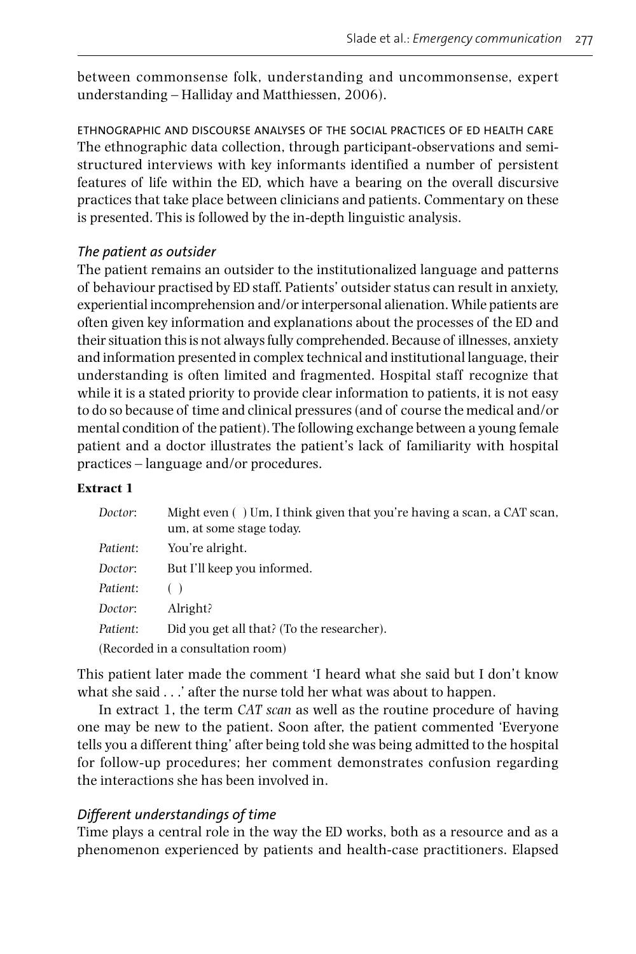between commonsense folk, understanding and uncommonsense, expert understanding – Halliday and Matthiessen, 2006).

ETHNOGRAPHIC AND DISCOURSE ANALYSES OF THE SOCIAL PRACTICES OF ED HEALTH CARE The ethnographic data collection, through participant-observations and semistructured interviews with key informants identified a number of persistent features of life within the ED, which have a bearing on the overall discursive practices that take place between clinicians and patients. Commentary on these is presented. This is followed by the in-depth linguistic analysis.

### *The patient as outsider*

The patient remains an outsider to the institutionalized language and patterns of behaviour practised by ED staff. Patients' outsider status can result in anxiety, experiential incomprehension and/or interpersonal alienation. While patients are often given key information and explanations about the processes of the ED and their situation this is not always fully comprehended. Because of illnesses, anxiety and information presented in complex technical and institutional language, their understanding is often limited and fragmented. Hospital staff recognize that while it is a stated priority to provide clear information to patients, it is not easy to do so because of time and clinical pressures (and of course the medical and/or mental condition of the patient). The following exchange between a young female patient and a doctor illustrates the patient's lack of familiarity with hospital practices – language and/or procedures.

### **Extract 1**

| Doctor:                           | Might even $( )$ Um, I think given that you're having a scan, a CAT scan,<br>um, at some stage today. |  |
|-----------------------------------|-------------------------------------------------------------------------------------------------------|--|
| Patient:                          | You're alright.                                                                                       |  |
| Doctor:                           | But I'll keep you informed.                                                                           |  |
| Patient:                          |                                                                                                       |  |
| Doctor:                           | Alright?                                                                                              |  |
| Patient:                          | Did you get all that? (To the researcher).                                                            |  |
| (Recorded in a consultation room) |                                                                                                       |  |

This patient later made the comment 'I heard what she said but I don't know what she said . . .' after the nurse told her what was about to happen.

In extract 1, the term *CAT scan* as well as the routine procedure of having one may be new to the patient. Soon after, the patient commented 'Everyone tells you a different thing' after being told she was being admitted to the hospital for follow-up procedures; her comment demonstrates confusion regarding the interactions she has been involved in.

### *Different understandings of time*

Time plays a central role in the way the ED works, both as a resource and as a phenomenon experienced by patients and health-case practitioners. Elapsed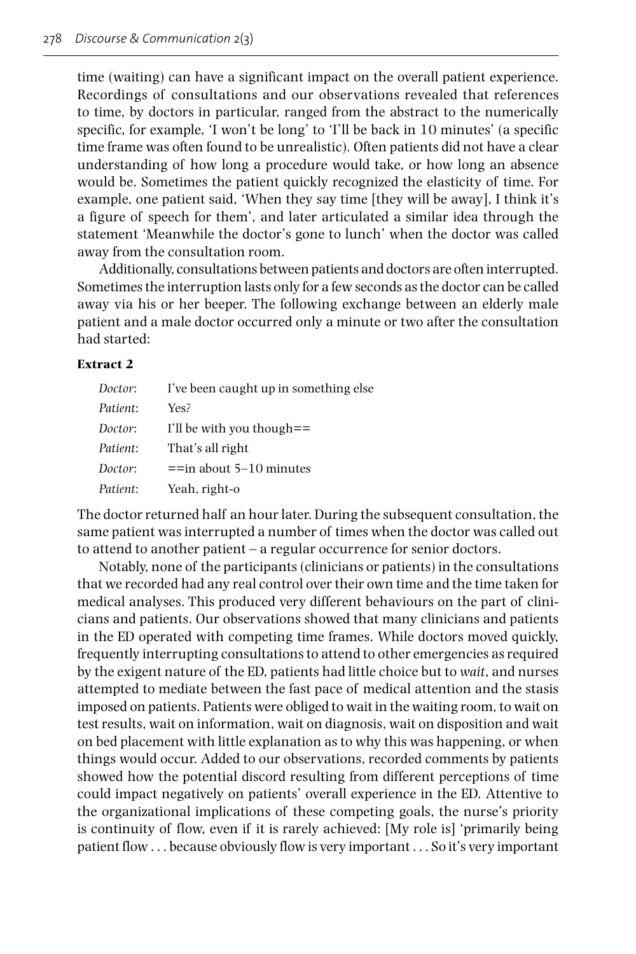time (waiting) can have a significant impact on the overall patient experience. Recordings of consultations and our observations revealed that references to time, by doctors in particular, ranged from the abstract to the numerically specific, for example, 'I won't be long' to 'I'll be back in 10 minutes' (a specific time frame was often found to be unrealistic)*.* Often patients did not have a clear understanding of how long a procedure would take, or how long an absence would be. Sometimes the patient quickly recognized the elasticity of time. For example, one patient said, 'When they say time [they will be away], I think it's a figure of speech for them', and later articulated a similar idea through the statement 'Meanwhile the doctor's gone to lunch' when the doctor was called away from the consultation room.

Additionally, consultations between patients and doctors are often interrupted. Sometimes the interruption lasts only for a few seconds as the doctor can be called away via his or her beeper. The following exchange between an elderly male patient and a male doctor occurred only a minute or two after the consultation had started:

#### **Extract 2**

| Doctor:  | I've been caught up in something else |
|----------|---------------------------------------|
| Patient: | Yes?                                  |
| Doctor:  | I'll be with you though= $=$          |
| Patient: | That's all right                      |
| Doctor:  | $=$ =in about 5–10 minutes            |
| Patient: | Yeah, right-o                         |

The doctor returned half an hour later. During the subsequent consultation, the same patient was interrupted a number of times when the doctor was called out to attend to another patient – a regular occurrence for senior doctors.

Notably, none of the participants (clinicians or patients) in the consultations that we recorded had any real control over their own time and the time taken for medical analyses. This produced very different behaviours on the part of clinicians and patients. Our observations showed that many clinicians and patients in the ED operated with competing time frames. While doctors moved quickly, frequently interrupting consultations to attend to other emergencies as required by the exigent nature of the ED, patients had little choice but to *wait*, and nurses attempted to mediate between the fast pace of medical attention and the stasis imposed on patients. Patients were obliged to wait in the waiting room, to wait on test results, wait on information, wait on diagnosis, wait on disposition and wait on bed placement with little explanation as to why this was happening, or when things would occur. Added to our observations, recorded comments by patients showed how the potential discord resulting from different perceptions of time could impact negatively on patients' overall experience in the ED. Attentive to the organizational implications of these competing goals, the nurse's priority is continuity of flow, even if it is rarely achieved: [My role is] 'primarily being patient flow . . . because obviously flow is very important . . . So it's very important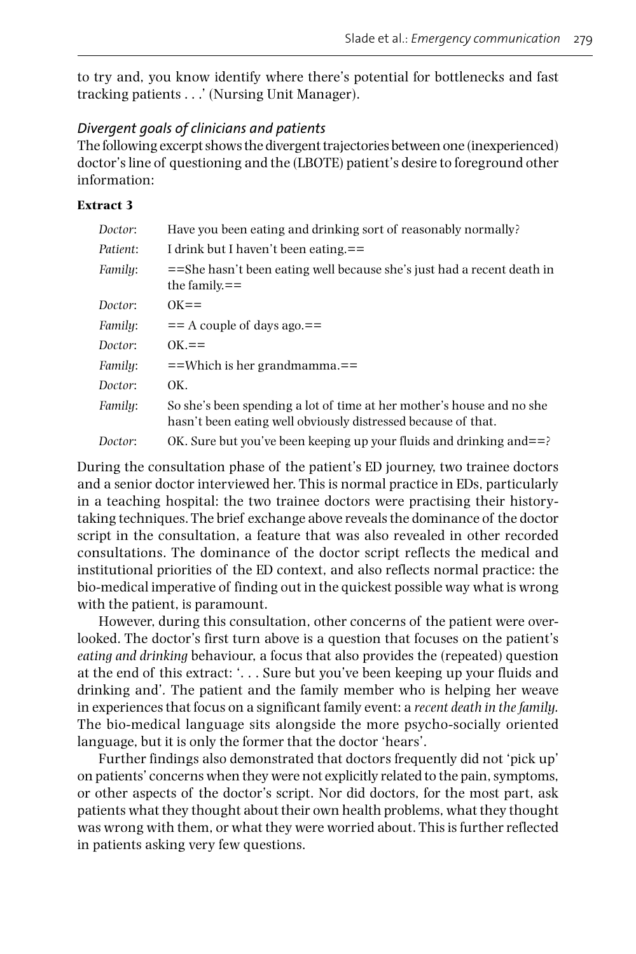to try and, you know identify where there's potential for bottlenecks and fast tracking patients . . .' (Nursing Unit Manager).

#### *Divergent goals of clinicians and patients*

The following excerpt shows the divergent trajectories between one (inexperienced) doctor's line of questioning and the (LBOTE) patient's desire to foreground other information:

#### **Extract 3**

| Doctor:  | Have you been eating and drinking sort of reasonably normally?                                                                         |
|----------|----------------------------------------------------------------------------------------------------------------------------------------|
| Patient: | I drink but I haven't been eating.==                                                                                                   |
| Family:  | $=$ She hasn't been eating well because she's just had a recent death in<br>the family. $==$                                           |
| Doctor:  | $OK==$                                                                                                                                 |
| Family:  | $== A$ couple of days ago. $==$                                                                                                        |
| Doctor:  | $OK.==$                                                                                                                                |
| Family:  | $=$ =Which is her grandmamma. $=$ =                                                                                                    |
| Doctor:  | OK.                                                                                                                                    |
| Family:  | So she's been spending a lot of time at her mother's house and no she<br>hasn't been eating well obviously distressed because of that. |
| Doctor:  | OK. Sure but you've been keeping up your fluids and drinking and==?                                                                    |

During the consultation phase of the patient's ED journey, two trainee doctors and a senior doctor interviewed her. This is normal practice in EDs, particularly in a teaching hospital: the two trainee doctors were practising their historytaking techniques. The brief exchange above reveals the dominance of the doctor script in the consultation, a feature that was also revealed in other recorded consultations. The dominance of the doctor script reflects the medical and institutional priorities of the ED context, and also reflects normal practice: the bio-medical imperative of finding out in the quickest possible way what is wrong with the patient, is paramount.

However, during this consultation, other concerns of the patient were overlooked. The doctor's first turn above is a question that focuses on the patient's *eating and drinking* behaviour, a focus that also provides the (repeated) question at the end of this extract: '. . . Sure but you've been keeping up your fluids and drinking and'*.* The patient and the family member who is helping her weave in experiences that focus on a significant family event: a *recent death in the family.*  The bio-medical language sits alongside the more psycho-socially oriented language, but it is only the former that the doctor 'hears'.

Further findings also demonstrated that doctors frequently did not 'pick up' on patients' concerns when they were not explicitly related to the pain, symptoms, or other aspects of the doctor's script. Nor did doctors, for the most part, ask patients what they thought about their own health problems, what they thought was wrong with them, or what they were worried about. This is further reflected in patients asking very few questions.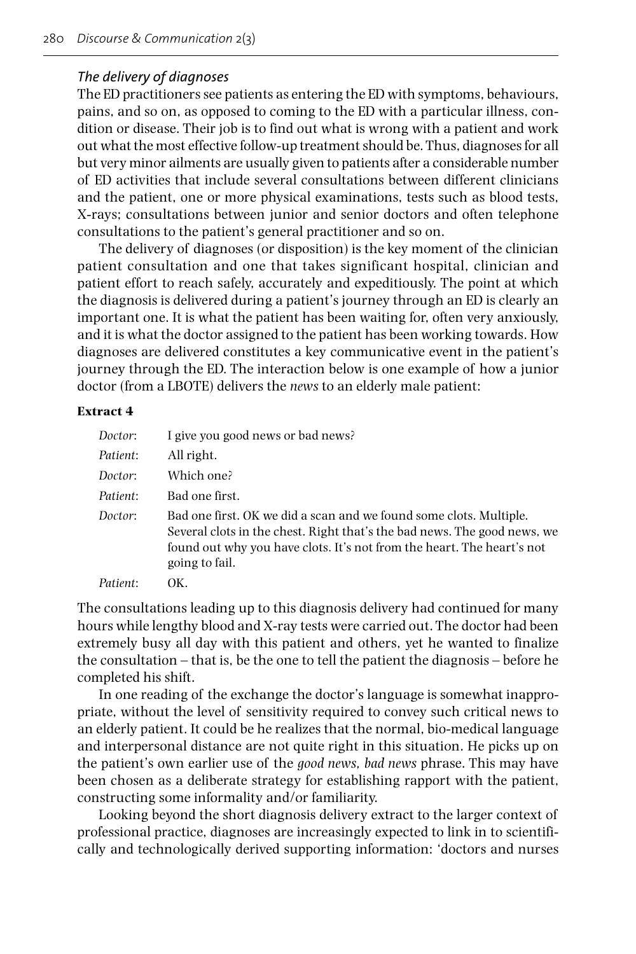#### *The delivery of diagnoses*

The ED practitioners see patients as entering the ED with symptoms, behaviours, pains, and so on, as opposed to coming to the ED with a particular illness, condition or disease. Their job is to find out what is wrong with a patient and work out what the most effective follow-up treatment should be. Thus, diagnoses for all but very minor ailments are usually given to patients after a considerable number of ED activities that include several consultations between different clinicians and the patient, one or more physical examinations, tests such as blood tests, X-rays; consultations between junior and senior doctors and often telephone consultations to the patient's general practitioner and so on.

The delivery of diagnoses (or disposition) is the key moment of the clinician patient consultation and one that takes significant hospital, clinician and patient effort to reach safely, accurately and expeditiously. The point at which the diagnosis is delivered during a patient's journey through an ED is clearly an important one. It is what the patient has been waiting for, often very anxiously, and it is what the doctor assigned to the patient has been working towards. How diagnoses are delivered constitutes a key communicative event in the patient's journey through the ED. The interaction below is one example of how a junior doctor (from a LBOTE) delivers the *news* to an elderly male patient:

#### **Extract 4**

| Doctor:  | I give you good news or bad news?                                                                                                                                                                                                          |
|----------|--------------------------------------------------------------------------------------------------------------------------------------------------------------------------------------------------------------------------------------------|
| Patient: | All right.                                                                                                                                                                                                                                 |
| Doctor:  | Which one?                                                                                                                                                                                                                                 |
| Patient: | Bad one first.                                                                                                                                                                                                                             |
| Doctor:  | Bad one first. OK we did a scan and we found some clots. Multiple.<br>Several clots in the chest. Right that's the bad news. The good news, we<br>found out why you have clots. It's not from the heart. The heart's not<br>going to fail. |
| Patient: | OK.                                                                                                                                                                                                                                        |

The consultations leading up to this diagnosis delivery had continued for many hours while lengthy blood and X-ray tests were carried out. The doctor had been extremely busy all day with this patient and others, yet he wanted to finalize the consultation – that is, be the one to tell the patient the diagnosis – before he completed his shift.

In one reading of the exchange the doctor's language is somewhat inappropriate, without the level of sensitivity required to convey such critical news to an elderly patient. It could be he realizes that the normal, bio-medical language and interpersonal distance are not quite right in this situation. He picks up on the patient's own earlier use of the *good news, bad news* phrase. This may have been chosen as a deliberate strategy for establishing rapport with the patient, constructing some informality and/or familiarity.

Looking beyond the short diagnosis delivery extract to the larger context of professional practice, diagnoses are increasingly expected to link in to scientifically and technologically derived supporting information: 'doctors and nurses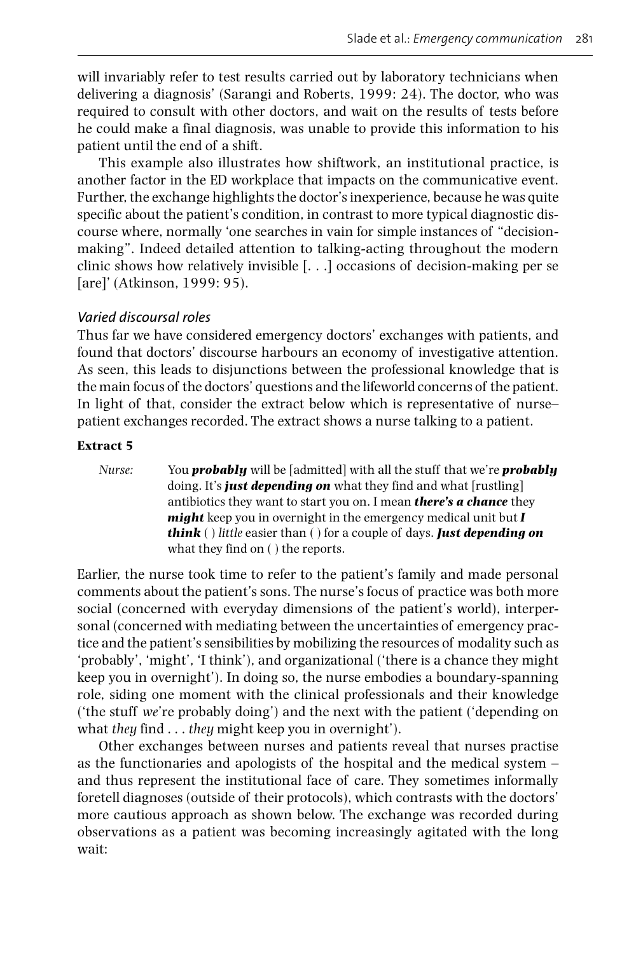will invariably refer to test results carried out by laboratory technicians when delivering a diagnosis' (Sarangi and Roberts, 1999: 24). The doctor, who was required to consult with other doctors, and wait on the results of tests before he could make a final diagnosis, was unable to provide this information to his patient until the end of a shift.

This example also illustrates how shiftwork, an institutional practice, is another factor in the ED workplace that impacts on the communicative event. Further, the exchange highlights the doctor's inexperience, because he was quite specific about the patient's condition, in contrast to more typical diagnostic discourse where, normally 'one searches in vain for simple instances of ''decisionmaking''. Indeed detailed attention to talking-acting throughout the modern clinic shows how relatively invisible [. . .] occasions of decision-making per se [are]' (Atkinson, 1999: 95).

#### *Varied discoursal roles*

Thus far we have considered emergency doctors' exchanges with patients, and found that doctors' discourse harbours an economy of investigative attention. As seen, this leads to disjunctions between the professional knowledge that is the main focus of the doctors' questions and the lifeworld concerns of the patient. In light of that, consider the extract below which is representative of nurse– patient exchanges recorded. The extract shows a nurse talking to a patient.

#### **Extract 5**

*Nurse:* You *probably* will be [admitted] with all the stuff that we're *probably* doing. It's *just depending on* what they find and what [rustling] antibiotics they want to start you on. I mean *there's a chance* they *might* keep you in overnight in the emergency medical unit but *I think* ( ) *little* easier than ( ) for a couple of days. *Just depending on* what they find on ( ) the reports.

Earlier, the nurse took time to refer to the patient's family and made personal comments about the patient's sons. The nurse's focus of practice was both more social (concerned with everyday dimensions of the patient's world), interpersonal (concerned with mediating between the uncertainties of emergency practice and the patient's sensibilities by mobilizing the resources of modality such as 'probably', 'might', 'I think'), and organizational ('there is a chance they might keep you in overnight'). In doing so, the nurse embodies a boundary-spanning role, siding one moment with the clinical professionals and their knowledge ('the stuff *we*'re probably doing') and the next with the patient ('depending on what *they* find . . . *they* might keep you in overnight').

Other exchanges between nurses and patients reveal that nurses practise as the functionaries and apologists of the hospital and the medical system – and thus represent the institutional face of care. They sometimes informally foretell diagnoses (outside of their protocols), which contrasts with the doctors' more cautious approach as shown below. The exchange was recorded during observations as a patient was becoming increasingly agitated with the long wait: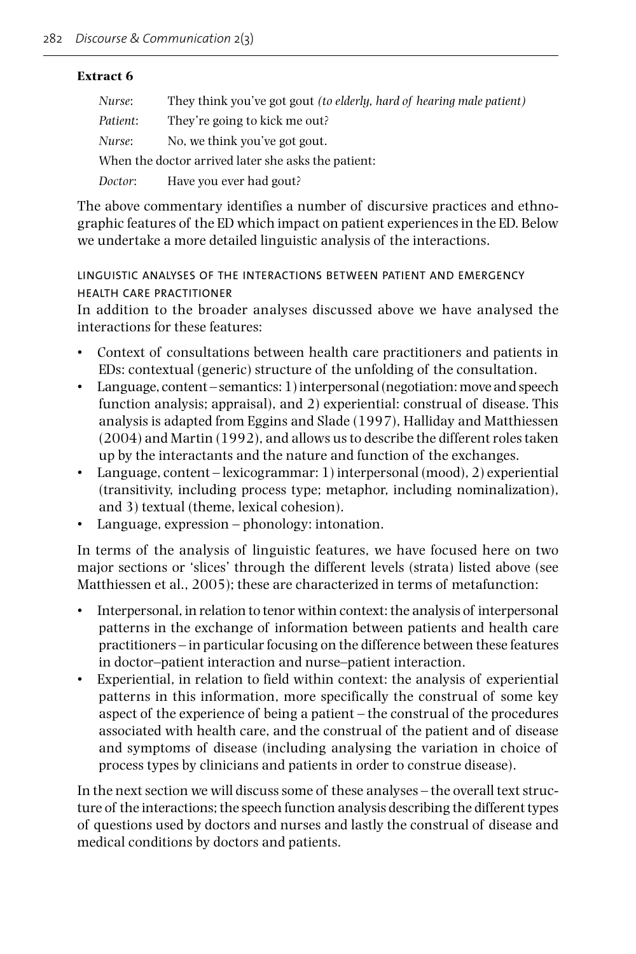#### **Extract 6**

| Nurse:   | They think you've got gout <i>(to elderly, hard of hearing male patient)</i> |
|----------|------------------------------------------------------------------------------|
| Patient: | They're going to kick me out?                                                |
| Nurse:   | No, we think you've got gout.                                                |
|          | When the doctor arrived later she asks the patient:                          |
| Doctor:  | Have you ever had gout?                                                      |

The above commentary identifies a number of discursive practices and ethnographic features of the ED which impact on patient experiences in the ED. Below we undertake a more detailed linguistic analysis of the interactions.

#### LINGUISTIC ANALYSES OF THE INTERACTIONS BETWEEN PATIENT AND EMERGENCY HEALTH CARE PRACTITIONER

In addition to the broader analyses discussed above we have analysed the interactions for these features:

- Context of consultations between health care practitioners and patients in EDs: contextual (generic) structure of the unfolding of the consultation.
- Language, content semantics: 1) interpersonal (negotiation: move and speech function analysis; appraisal), and 2) experiential: construal of disease. This analysis is adapted from Eggins and Slade (1997), Halliday and Matthiessen (2004) and Martin (1992), and allows us to describe the different roles taken up by the interactants and the nature and function of the exchanges.
- Language, content lexicogrammar: 1) interpersonal (mood), 2) experiential (transitivity, including process type; metaphor, including nominalization), and 3) textual (theme, lexical cohesion).
- Language, expression phonology: intonation.

In terms of the analysis of linguistic features, we have focused here on two major sections or 'slices' through the different levels (strata) listed above (see Matthiessen et al., 2005); these are characterized in terms of metafunction:

- Interpersonal, in relation to tenor within context: the analysis of interpersonal patterns in the exchange of information between patients and health care practitioners – in particular focusing on the difference between these features in doctor–patient interaction and nurse–patient interaction.
- Experiential, in relation to field within context: the analysis of experiential patterns in this information, more specifically the construal of some key aspect of the experience of being a patient – the construal of the procedures associated with health care, and the construal of the patient and of disease and symptoms of disease (including analysing the variation in choice of process types by clinicians and patients in order to construe disease).

In the next section we will discuss some of these analyses – the overall text structure of the interactions; the speech function analysis describing the different types of questions used by doctors and nurses and lastly the construal of disease and medical conditions by doctors and patients.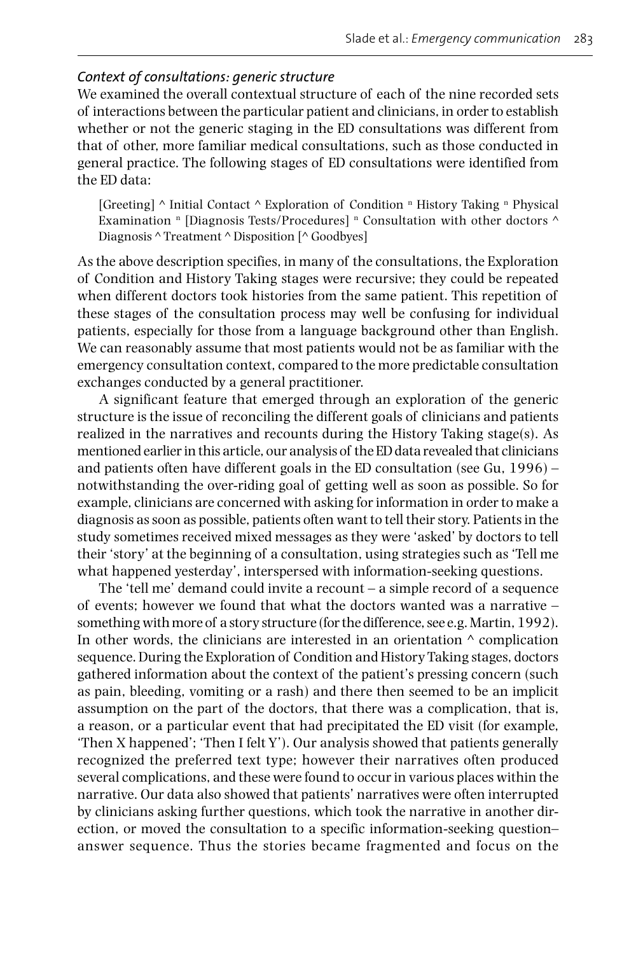#### *Context of consultations: generic structure*

We examined the overall contextual structure of each of the nine recorded sets of interactions between the particular patient and clinicians, in order to establish whether or not the generic staging in the ED consultations was different from that of other, more familiar medical consultations, such as those conducted in general practice. The following stages of ED consultations were identified from the ED data:

[Greeting]  $\land$  Initial Contact  $\land$  Exploration of Condition <sup>n</sup> History Taking <sup>n</sup> Physical Examination  $n$  [Diagnosis Tests/Procedures]  $n$  Consultation with other doctors  $\wedge$ Diagnosis ^ Treatment ^ Disposition [^ Goodbyes]

As the above description specifies, in many of the consultations, the Exploration of Condition and History Taking stages were recursive; they could be repeated when different doctors took histories from the same patient. This repetition of these stages of the consultation process may well be confusing for individual patients, especially for those from a language background other than English. We can reasonably assume that most patients would not be as familiar with the emergency consultation context, compared to the more predictable consultation exchanges conducted by a general practitioner.

A significant feature that emerged through an exploration of the generic structure is the issue of reconciling the different goals of clinicians and patients realized in the narratives and recounts during the History Taking stage(s). As mentioned earlier in this article, our analysis of the ED data revealed that clinicians and patients often have different goals in the ED consultation (see Gu, 1996) – notwithstanding the over-riding goal of getting well as soon as possible. So for example, clinicians are concerned with asking for information in order to make a diagnosis as soon as possible, patients often want to tell their story. Patients in the study sometimes received mixed messages as they were 'asked' by doctors to tell their 'story' at the beginning of a consultation, using strategies such as 'Tell me what happened yesterday', interspersed with information-seeking questions.

The 'tell me' demand could invite a recount – a simple record of a sequence of events; however we found that what the doctors wanted was a narrative – something with more of a story structure (for the difference, see e.g. Martin, 1992). In other words, the clinicians are interested in an orientation  $\wedge$  complication sequence. During the Exploration of Condition and History Taking stages, doctors gathered information about the context of the patient's pressing concern (such as pain, bleeding, vomiting or a rash) and there then seemed to be an implicit assumption on the part of the doctors, that there was a complication, that is, a reason, or a particular event that had precipitated the ED visit (for example, 'Then X happened'; 'Then I felt Y'). Our analysis showed that patients generally recognized the preferred text type; however their narratives often produced several complications, and these were found to occur in various places within the narrative. Our data also showed that patients' narratives were often interrupted by clinicians asking further questions, which took the narrative in another direction, or moved the consultation to a specific information-seeking question– answer sequence. Thus the stories became fragmented and focus on the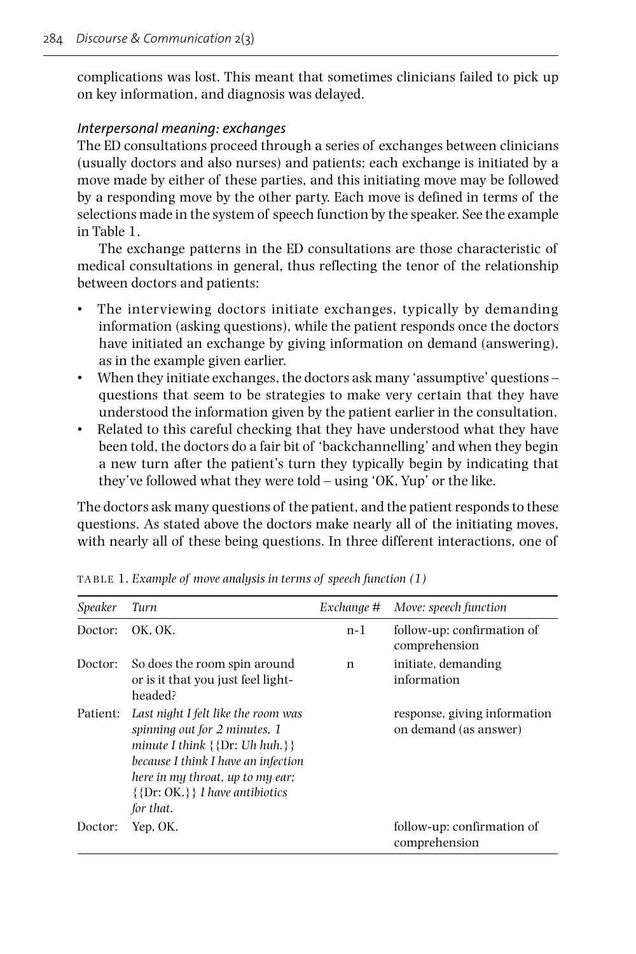complications was lost. This meant that sometimes clinicians failed to pick up on key information, and diagnosis was delayed.

#### *Interpersonal meaning: exchanges*

The ED consultations proceed through a series of exchanges between clinicians (usually doctors and also nurses) and patients; each exchange is initiated by a move made by either of these parties, and this initiating move may be followed by a responding move by the other party. Each move is defined in terms of the selections made in the system of speech function by the speaker. See the example in Table 1.

The exchange patterns in the ED consultations are those characteristic of medical consultations in general, thus reflecting the tenor of the relationship between doctors and patients:

- The interviewing doctors initiate exchanges, typically by demanding information (asking questions), while the patient responds once the doctors have initiated an exchange by giving information on demand (answering), as in the example given earlier.
- When they initiate exchanges, the doctors ask many 'assumptive' questions questions that seem to be strategies to make very certain that they have understood the information given by the patient earlier in the consultation.
- Related to this careful checking that they have understood what they have been told, the doctors do a fair bit of 'backchannelling' and when they begin a new turn after the patient's turn they typically begin by indicating that they've followed what they were told – using 'OK, Yup' or the like.

The doctors ask many questions of the patient, and the patient responds to these questions. As stated above the doctors make nearly all of the initiating moves, with nearly all of these being questions. In three different interactions, one of

| Speaker  | Turn                                                                                                                                                                                                                                             | $Exchange \#$ | Move: speech function                                 |
|----------|--------------------------------------------------------------------------------------------------------------------------------------------------------------------------------------------------------------------------------------------------|---------------|-------------------------------------------------------|
| Doctor:  | OK. OK.                                                                                                                                                                                                                                          | n-1           | follow-up: confirmation of<br>comprehension           |
| Doctor:  | So does the room spin around<br>or is it that you just feel light-<br>headed?                                                                                                                                                                    | n             | initiate, demanding<br>information                    |
| Patient: | Last night I felt like the room was<br>spinning out for 2 minutes, 1<br>minute I think $\{$ $\{Dr: Uh\, hub.\}$<br>because I think I have an infection<br>here in my throat, up to my ear;<br>$\{\{Dr: OK.\}\}\$ I have antibiotics<br>for that. |               | response, giving information<br>on demand (as answer) |
| Doctor:  | Yep, OK.                                                                                                                                                                                                                                         |               | follow-up: confirmation of<br>comprehension           |

TABLE 1. *Example of move analysis in terms of speech function (1)*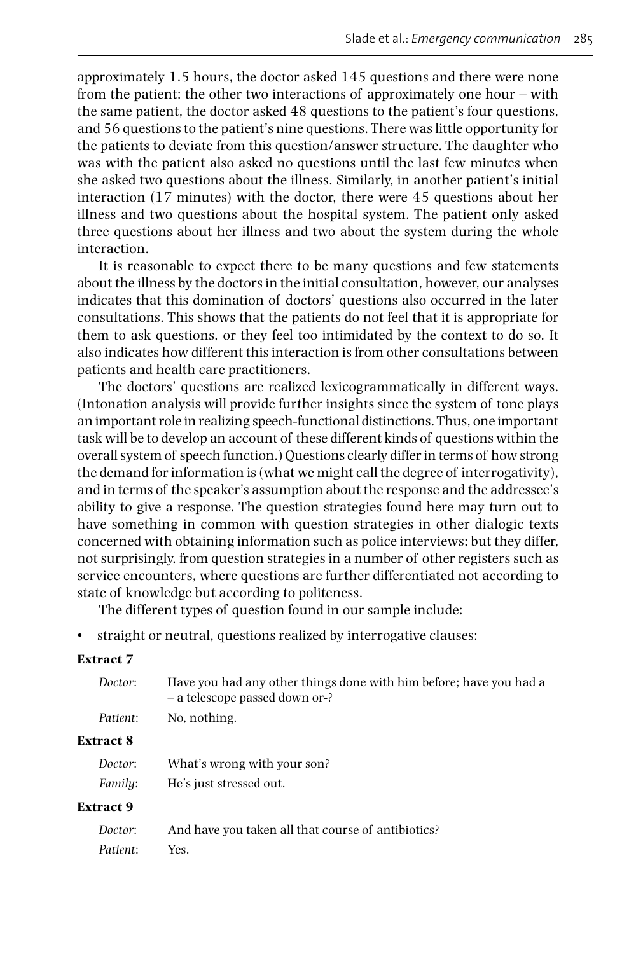approximately 1.5 hours, the doctor asked 145 questions and there were none from the patient; the other two interactions of approximately one hour – with the same patient, the doctor asked 48 questions to the patient's four questions, and 56 questions to the patient's nine questions. There was little opportunity for the patients to deviate from this question/answer structure. The daughter who was with the patient also asked no questions until the last few minutes when she asked two questions about the illness. Similarly, in another patient's initial interaction (17 minutes) with the doctor, there were 45 questions about her illness and two questions about the hospital system. The patient only asked three questions about her illness and two about the system during the whole interaction.

It is reasonable to expect there to be many questions and few statements about the illness by the doctors in the initial consultation, however, our analyses indicates that this domination of doctors' questions also occurred in the later consultations. This shows that the patients do not feel that it is appropriate for them to ask questions, or they feel too intimidated by the context to do so. It also indicates how different this interaction is from other consultations between patients and health care practitioners.

The doctors' questions are realized lexicogrammatically in different ways. (Intonation analysis will provide further insights since the system of tone plays an important role in realizing speech-functional distinctions. Thus, one important task will be to develop an account of these different kinds of questions within the overall system of speech function.) Questions clearly differ in terms of how strong the demand for information is (what we might call the degree of interrogativity), and in terms of the speaker's assumption about the response and the addressee's ability to give a response. The question strategies found here may turn out to have something in common with question strategies in other dialogic texts concerned with obtaining information such as police interviews; but they differ, not surprisingly, from question strategies in a number of other registers such as service encounters, where questions are further differentiated not according to state of knowledge but according to politeness.

The different types of question found in our sample include:

straight or neutral, questions realized by interrogative clauses:

#### **Extract 7**

| Doctor:   | Have you had any other things done with him before; have you had a<br>- a telescope passed down or-? |
|-----------|------------------------------------------------------------------------------------------------------|
| Patient:  | No, nothing.                                                                                         |
| Extract 8 |                                                                                                      |
| Doctor:   | What's wrong with your son?                                                                          |
| Family:   | He's just stressed out.                                                                              |
| Extract 9 |                                                                                                      |
| Doctor:   | And have you taken all that course of antibiotics?                                                   |
| Patient:  | Yes.                                                                                                 |
|           |                                                                                                      |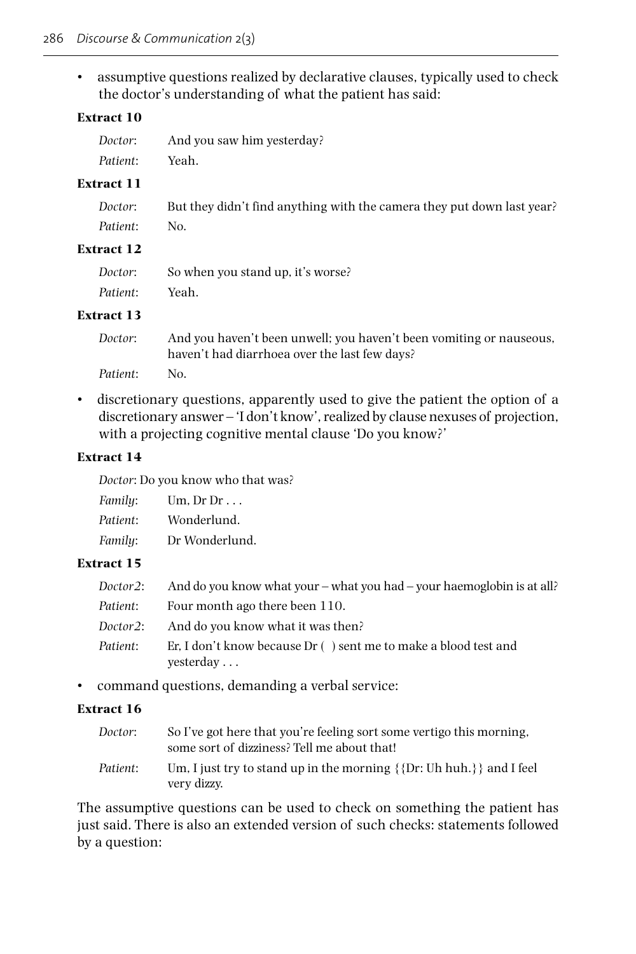• assumptive questions realized by declarative clauses, typically used to check the doctor's understanding of what the patient has said:

#### **Extract 10**

| Doctor:  | And you saw him yesterday? |
|----------|----------------------------|
| Patient: | Yeah.                      |

#### **Extract 11**

| Doctor:  | But they didn't find anything with the camera they put down last year? |
|----------|------------------------------------------------------------------------|
| Patient: | No.                                                                    |

#### **Extract 12**

| Doctor:  | So when you stand up, it's worse? |
|----------|-----------------------------------|
| Patient: | Yeah.                             |

#### **Extract 13**

| Doctor:  | And you haven't been unwell; you haven't been vomiting or nauseous,<br>haven't had diarrhoea over the last few days? |
|----------|----------------------------------------------------------------------------------------------------------------------|
| Patient: | No.                                                                                                                  |

• discretionary questions, apparently used to give the patient the option of a discretionary answer – 'I don't know', realized by clause nexuses of projection, with a projecting cognitive mental clause 'Do you know?'

#### **Extract 14**

*Doctor*: Do you know who that was?

| Family:  | $Um.$ $Dr.$    |
|----------|----------------|
| Patient: | Wonderlund.    |
| Family:  | Dr Wonderlund. |

#### **Extract 15**

| Doctor2: | And do you know what your – what you had – your haemoglobin is at all?                     |  |
|----------|--------------------------------------------------------------------------------------------|--|
| Patient: | Four month ago there been 110.                                                             |  |
| Doctor2: | And do you know what it was then?                                                          |  |
| Patient: | Er, I don't know because $Dr( )$ sent me to make a blood test and<br>$v$ esterday $\ldots$ |  |

• command questions, demanding a verbal service:

#### **Extract 16**

| Doctor:  | So I've got here that you're feeling sort some vertigo this morning.<br>some sort of dizziness? Tell me about that! |
|----------|---------------------------------------------------------------------------------------------------------------------|
| Patient: | Um, I just try to stand up in the morning $\{$ $\{Dr: Uh\, huh.\}$ and I feel<br>very dizzy.                        |

The assumptive questions can be used to check on something the patient has just said. There is also an extended version of such checks: statements followed by a question: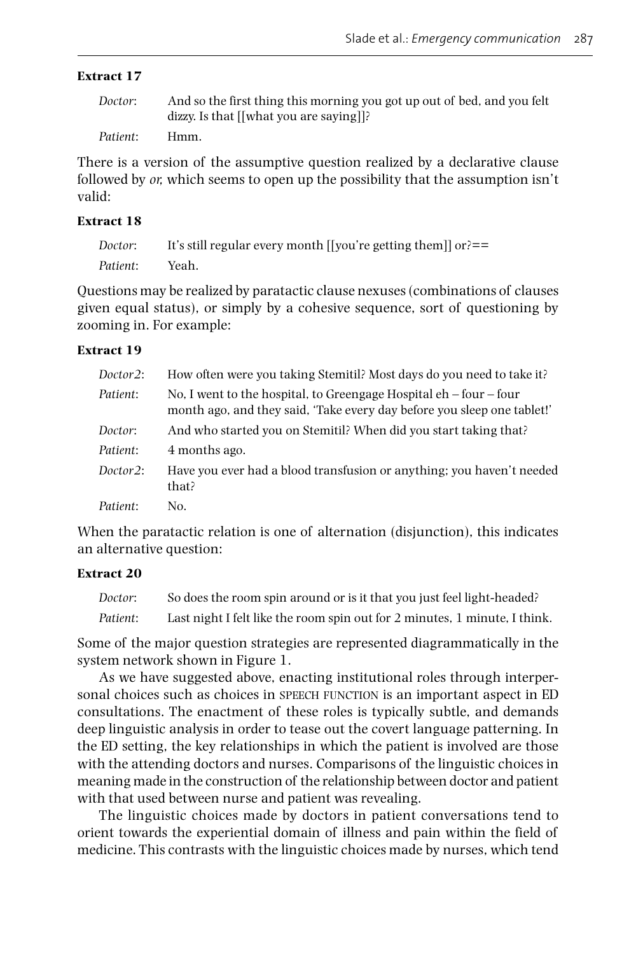#### **Extract 17**

| Doctor:  | And so the first thing this morning you got up out of bed, and you felt<br>$\frac{1}{2}$ dizzy. Is that $\frac{1}{2}$ lives to $\frac{1}{2}$ are saying $\frac{1}{2}$ . |
|----------|-------------------------------------------------------------------------------------------------------------------------------------------------------------------------|
| Patient: | Hmm.                                                                                                                                                                    |

There is a version of the assumptive question realized by a declarative clause followed by *or,* which seems to open up the possibility that the assumption isn't valid:

#### **Extract 18**

| Doctor:  | It's still regular every month [[you're getting them]] or?== |
|----------|--------------------------------------------------------------|
| Patient: | Yeah.                                                        |

Questions may be realized by paratactic clause nexuses (combinations of clauses given equal status), or simply by a cohesive sequence, sort of questioning by zooming in. For example:

#### **Extract 19**

| Doctor2: | How often were you taking Stemitil? Most days do you need to take it?                                                                           |  |
|----------|-------------------------------------------------------------------------------------------------------------------------------------------------|--|
| Patient: | No. I went to the hospital, to Greengage Hospital $eh$ – four – four<br>month ago, and they said, 'Take every day before you sleep one tablet!' |  |
| Doctor:  | And who started you on Stemitil? When did you start taking that?                                                                                |  |
| Patient: | 4 months ago.                                                                                                                                   |  |
| Doctor2: | Have you ever had a blood transfusion or anything; you haven't needed<br>that?                                                                  |  |
| Patient: | No.                                                                                                                                             |  |

When the paratactic relation is one of alternation (disjunction), this indicates an alternative question:

#### **Extract 20**

| Doctor:  | So does the room spin around or is it that you just feel light-headed?     |
|----------|----------------------------------------------------------------------------|
| Patient: | Last night I felt like the room spin out for 2 minutes, 1 minute, I think. |

Some of the major question strategies are represented diagrammatically in the system network shown in Figure 1.

As we have suggested above, enacting institutional roles through interpersonal choices such as choices in SPEECH FUNCTION is an important aspect in ED consultations. The enactment of these roles is typically subtle, and demands deep linguistic analysis in order to tease out the covert language patterning. In the ED setting, the key relationships in which the patient is involved are those with the attending doctors and nurses. Comparisons of the linguistic choices in meaning made in the construction of the relationship between doctor and patient with that used between nurse and patient was revealing.

The linguistic choices made by doctors in patient conversations tend to orient towards the experiential domain of illness and pain within the field of medicine. This contrasts with the linguistic choices made by nurses, which tend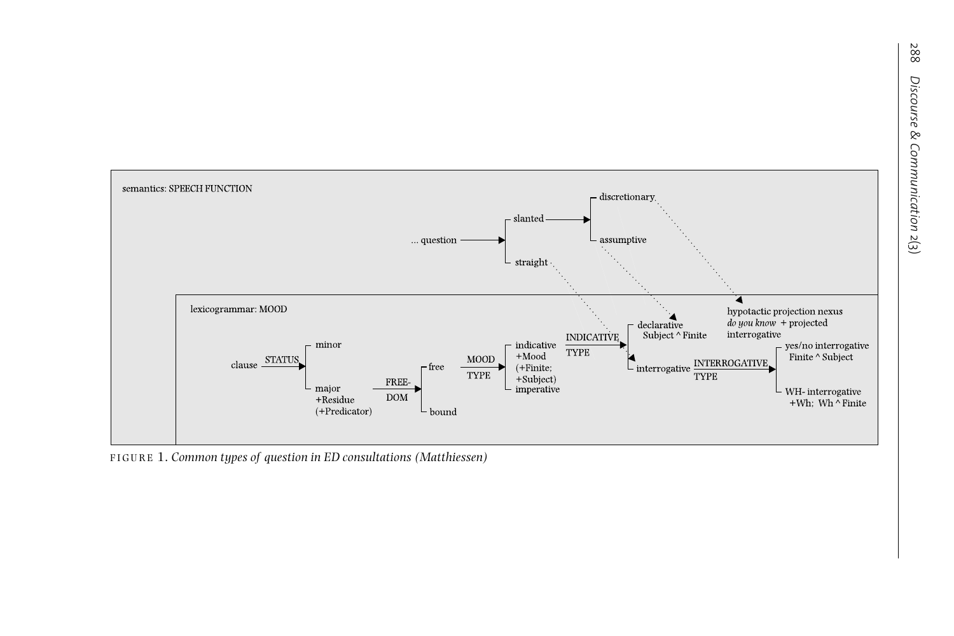

FIGURE 1. *Common types of question in ED consultations (Matthiessen)*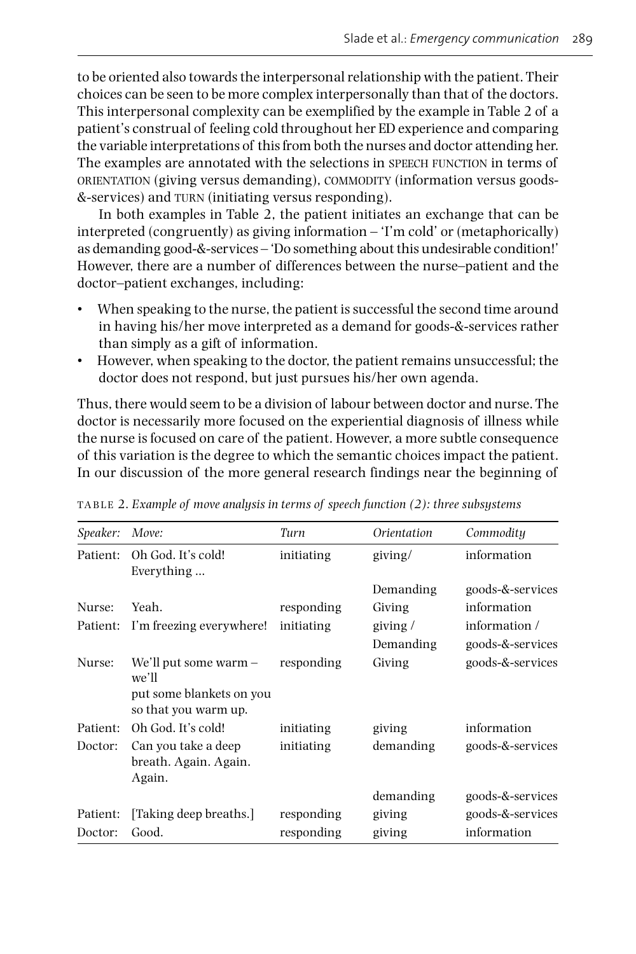to be oriented also towards the interpersonal relationship with the patient. Their choices can be seen to be more complex interpersonally than that of the doctors. This interpersonal complexity can be exemplified by the example in Table 2 of a patient's construal of feeling cold throughout her ED experience and comparing the variable interpretations of this from both the nurses and doctor attending her. The examples are annotated with the selections in SPEECH FUNCTION in terms of ORIENTATION (giving versus demanding), COMMODITY (information versus goods- &-services) and TURN (initiating versus responding).

In both examples in Table 2, the patient initiates an exchange that can be interpreted (congruently) as giving information – 'I'm cold' or (metaphorically) as demanding good-&-services – 'Do something about this undesirable condition!' However, there are a number of differences between the nurse–patient and the doctor–patient exchanges, including:

- When speaking to the nurse, the patient is successful the second time around in having his/her move interpreted as a demand for goods-&-services rather than simply as a gift of information.
- However, when speaking to the doctor, the patient remains unsuccessful; the doctor does not respond, but just pursues his/her own agenda.

Thus, there would seem to be a division of labour between doctor and nurse. The doctor is necessarily more focused on the experiential diagnosis of illness while the nurse is focused on care of the patient. However, a more subtle consequence of this variation is the degree to which the semantic choices impact the patient. In our discussion of the more general research findings near the beginning of

| Speaker: | Move:                                                                                | Turn       | Orientation       | Commodity        |
|----------|--------------------------------------------------------------------------------------|------------|-------------------|------------------|
| Patient: | Oh God. It's cold!<br>Everything                                                     | initiating | giving/           | information      |
|          |                                                                                      |            | Demanding         | goods-&-services |
| Nurse:   | Yeah.                                                                                | responding | Giving            | information      |
|          | Patient: I'm freezing everywhere!                                                    | initiating | giving $\sqrt{ }$ | information /    |
|          |                                                                                      |            | Demanding         | goods-&-services |
| Nurse:   | We'll put some warm $-$<br>we'll<br>put some blankets on you<br>so that you warm up. | responding | Giving            | goods-&-services |
| Patient: | Oh God. It's cold!                                                                   | initiating | giving            | information      |
| Doctor:  | Can you take a deep<br>breath. Again. Again.<br>Again.                               | initiating | demanding         | goods-&-services |
|          |                                                                                      |            | demanding         | goods-&-services |
| Patient: | [Taking deep breaths.]                                                               | responding | giving            | goods-&-services |
| Doctor:  | Good.                                                                                | responding | giving            | information      |

TABLE 2. *Example of move analysis in terms of speech function (2): three subsystems*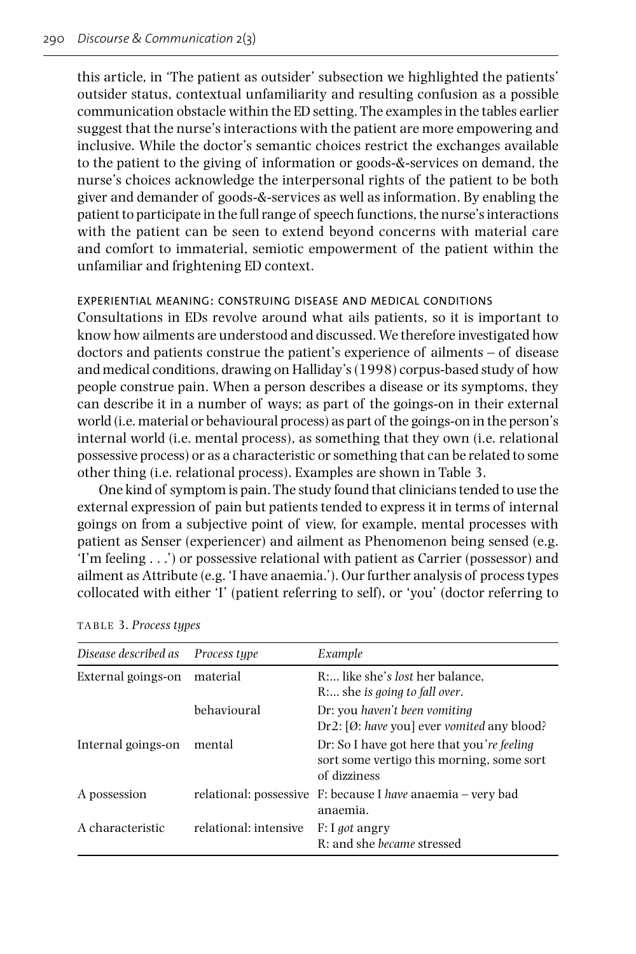this article, in 'The patient as outsider' subsection we highlighted the patients' outsider status, contextual unfamiliarity and resulting confusion as a possible communication obstacle within the ED setting. The examples in the tables earlier suggest that the nurse's interactions with the patient are more empowering and inclusive. While the doctor's semantic choices restrict the exchanges available to the patient to the giving of information or goods-&-services on demand, the nurse's choices acknowledge the interpersonal rights of the patient to be both giver and demander of goods-&-services as well as information. By enabling the patient to participate in the full range of speech functions, the nurse's interactions with the patient can be seen to extend beyond concerns with material care and comfort to immaterial, semiotic empowerment of the patient within the unfamiliar and frightening ED context.

#### EXPERIENTIAL MEANING: CONSTRUING DISEASE AND MEDICAL CONDITIONS

Consultations in EDs revolve around what ails patients, so it is important to know how ailments are understood and discussed. We therefore investigated how doctors and patients construe the patient's experience of ailments – of disease and medical conditions, drawing on Halliday's (1998) corpus-based study of how people construe pain. When a person describes a disease or its symptoms, they can describe it in a number of ways; as part of the goings-on in their external world (i.e. material or behavioural process) as part of the goings-on in the person's internal world (i.e. mental process), as something that they own (i.e. relational possessive process) or as a characteristic or something that can be related to some other thing (i.e. relational process). Examples are shown in Table 3.

One kind of symptom is pain. The study found that clinicians tended to use the external expression of pain but patients tended to express it in terms of internal goings on from a subjective point of view, for example, mental processes with patient as Senser (experiencer) and ailment as Phenomenon being sensed (e.g. 'I'm feeling . . .') or possessive relational with patient as Carrier (possessor) and ailment as Attribute (e.g. 'I have anaemia.'). Our further analysis of process types collocated with either 'I' (patient referring to self), or 'you' (doctor referring to

| Disease described as | Process type          | Example                                                                                                 |
|----------------------|-----------------------|---------------------------------------------------------------------------------------------------------|
| External goings-on   | material              | R: like she's <i>lost</i> her balance.<br>R: she is going to fall over.                                 |
|                      | behavioural           | Dr: you haven't been vomiting<br>$Dr2: [Ø: have you] ever vomited any blood?$                           |
| Internal goings-on   | mental                | Dr: So I have got here that you're feeling<br>sort some vertigo this morning, some sort<br>of dizziness |
| A possession         |                       | relational: possessive F: because I have anaemia – very bad<br>anaemia.                                 |
| A characteristic     | relational: intensive | F: I <i>got</i> angry<br>R: and she became stressed                                                     |

TABLE 3. *Process types*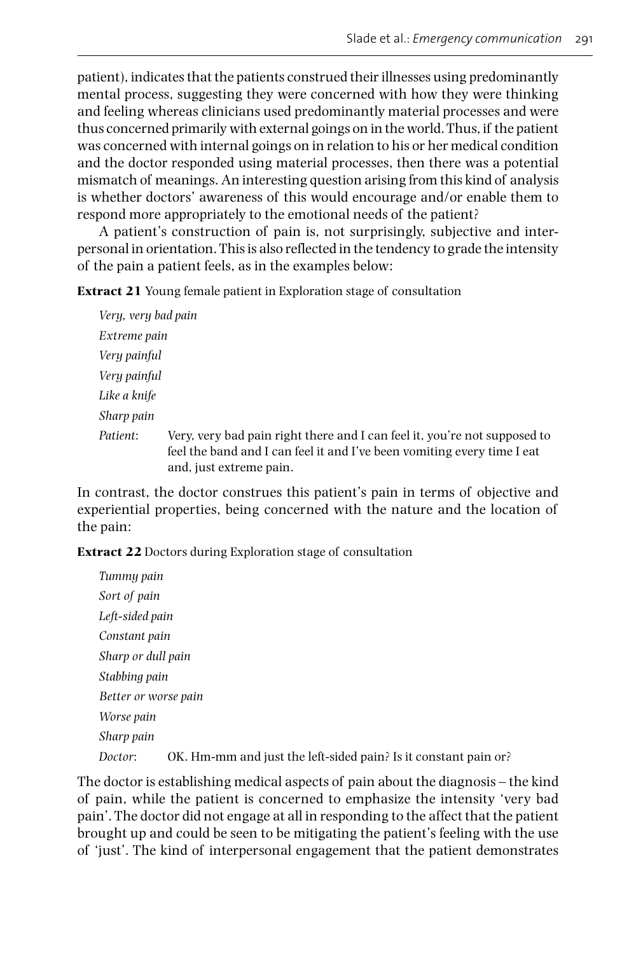patient), indicates that the patients construed their illnesses using predominantly mental process, suggesting they were concerned with how they were thinking and feeling whereas clinicians used predominantly material processes and were thus concerned primarily with external goings on in the world. Thus, if the patient was concerned with internal goings on in relation to his or her medical condition and the doctor responded using material processes, then there was a potential mismatch of meanings. An interesting question arising from this kind of analysis is whether doctors' awareness of this would encourage and/or enable them to respond more appropriately to the emotional needs of the patient?

A patient's construction of pain is, not surprisingly, subjective and interpersonal in orientation. This is also reflected in the tendency to grade the intensity of the pain a patient feels, as in the examples below:

**Extract 21** Young female patient in Exploration stage of consultation

| Very, very bad pain |                                                                                                                                                                                 |
|---------------------|---------------------------------------------------------------------------------------------------------------------------------------------------------------------------------|
| Extreme pain        |                                                                                                                                                                                 |
| Very painful        |                                                                                                                                                                                 |
| Very painful        |                                                                                                                                                                                 |
| Like a knife        |                                                                                                                                                                                 |
| Sharp pain          |                                                                                                                                                                                 |
| Patient:            | Very, very bad pain right there and I can feel it, you're not supposed to<br>feel the band and I can feel it and I've been vomiting every time I eat<br>and, just extreme pain. |

In contrast, the doctor construes this patient's pain in terms of objective and experiential properties, being concerned with the nature and the location of the pain:

**Extract 22** Doctors during Exploration stage of consultation

*Tummy pain Sort of pain Left-sided pain Constant pain Sharp or dull pain Stabbing pain Better or worse pain Worse pain Sharp pain Doctor*: OK. Hm-mm and just the left-sided pain? Is it constant pain or?

The doctor is establishing medical aspects of pain about the diagnosis – the kind of pain, while the patient is concerned to emphasize the intensity 'very bad pain'. The doctor did not engage at all in responding to the affect that the patient brought up and could be seen to be mitigating the patient's feeling with the use of 'just'. The kind of interpersonal engagement that the patient demonstrates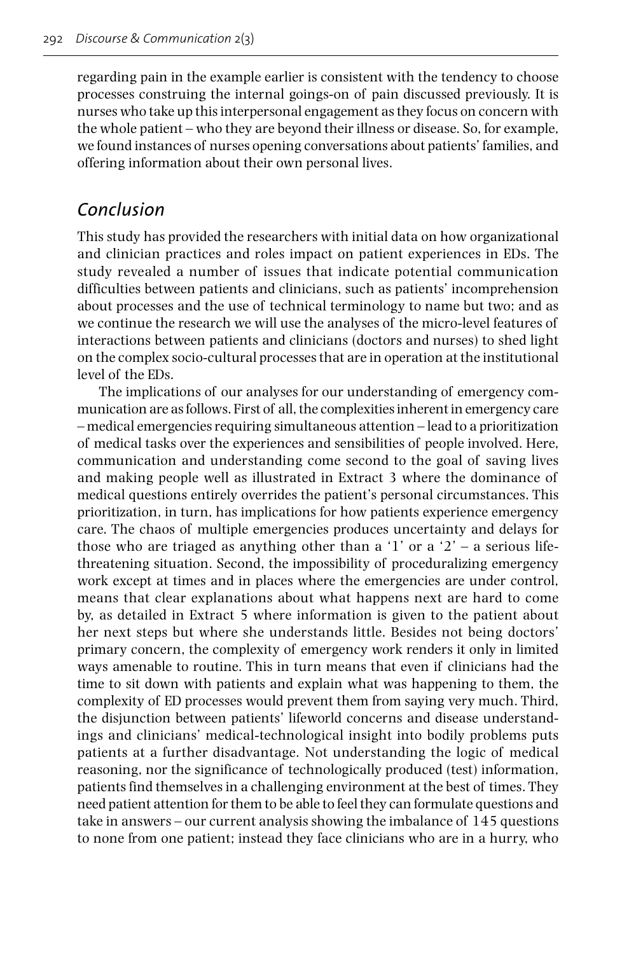regarding pain in the example earlier is consistent with the tendency to choose processes construing the internal goings-on of pain discussed previously. It is nurses who take up this interpersonal engagement as they focus on concern with the whole patient – who they are beyond their illness or disease. So, for example, we found instances of nurses opening conversations about patients' families, and offering information about their own personal lives.

## *Conclusion*

This study has provided the researchers with initial data on how organizational and clinician practices and roles impact on patient experiences in EDs. The study revealed a number of issues that indicate potential communication difficulties between patients and clinicians, such as patients' incomprehension about processes and the use of technical terminology to name but two; and as we continue the research we will use the analyses of the micro-level features of interactions between patients and clinicians (doctors and nurses) to shed light on the complex socio-cultural processes that are in operation at the institutional level of the EDs.

The implications of our analyses for our understanding of emergency communication are as follows. First of all, the complexities inherent in emergency care – medical emergencies requiring simultaneous attention – lead to a prioritization of medical tasks over the experiences and sensibilities of people involved. Here, communication and understanding come second to the goal of saving lives and making people well as illustrated in Extract 3 where the dominance of medical questions entirely overrides the patient's personal circumstances. This prioritization, in turn, has implications for how patients experience emergency care. The chaos of multiple emergencies produces uncertainty and delays for those who are triaged as anything other than a '1' or a '2' – a serious lifethreatening situation. Second, the impossibility of proceduralizing emergency work except at times and in places where the emergencies are under control, means that clear explanations about what happens next are hard to come by, as detailed in Extract 5 where information is given to the patient about her next steps but where she understands little. Besides not being doctors' primary concern, the complexity of emergency work renders it only in limited ways amenable to routine. This in turn means that even if clinicians had the time to sit down with patients and explain what was happening to them, the complexity of ED processes would prevent them from saying very much. Third, the disjunction between patients' lifeworld concerns and disease understandings and clinicians' medical-technological insight into bodily problems puts patients at a further disadvantage. Not understanding the logic of medical reasoning, nor the significance of technologically produced (test) information, patients find themselves in a challenging environment at the best of times. They need patient attention for them to be able to feel they can formulate questions and take in answers – our current analysis showing the imbalance of 145 questions to none from one patient; instead they face clinicians who are in a hurry, who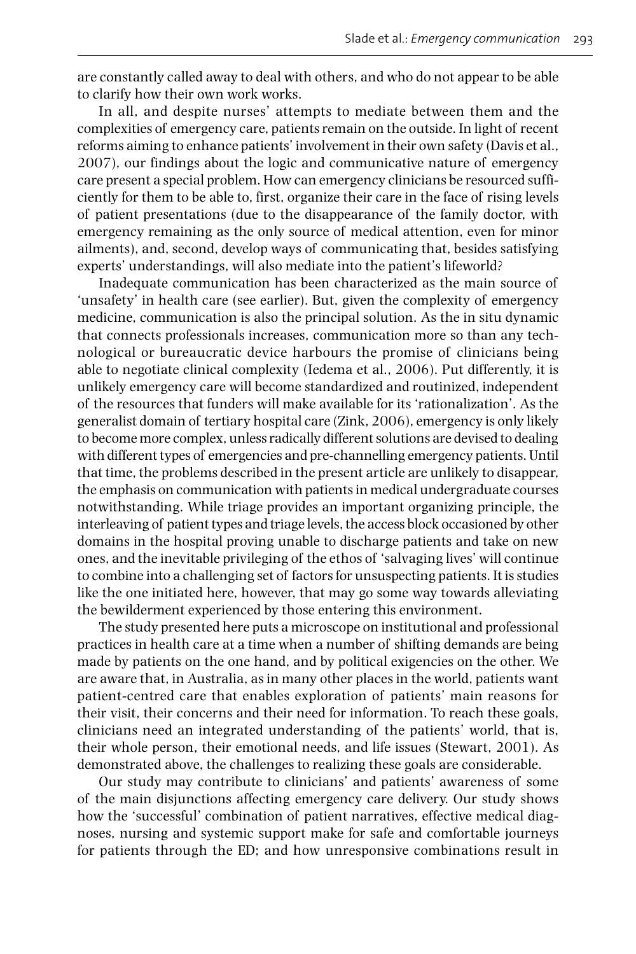are constantly called away to deal with others, and who do not appear to be able to clarify how their own work works.

In all, and despite nurses' attempts to mediate between them and the complexities of emergency care, patients remain on the outside. In light of recent reforms aiming to enhance patients' involvement in their own safety (Davis et al., 2007), our findings about the logic and communicative nature of emergency care present a special problem. How can emergency clinicians be resourced sufficiently for them to be able to, first, organize their care in the face of rising levels of patient presentations (due to the disappearance of the family doctor, with emergency remaining as the only source of medical attention, even for minor ailments), and, second, develop ways of communicating that, besides satisfying experts' understandings, will also mediate into the patient's lifeworld?

Inadequate communication has been characterized as the main source of 'unsafety' in health care (see earlier). But, given the complexity of emergency medicine, communication is also the principal solution. As the in situ dynamic that connects professionals increases, communication more so than any technological or bureaucratic device harbours the promise of clinicians being able to negotiate clinical complexity (Iedema et al., 2006). Put differently, it is unlikely emergency care will become standardized and routinized, independent of the resources that funders will make available for its 'rationalization'. As the generalist domain of tertiary hospital care (Zink, 2006), emergency is only likely to become more complex, unless radically different solutions are devised to dealing with different types of emergencies and pre-channelling emergency patients. Until that time, the problems described in the present article are unlikely to disappear, the emphasis on communication with patients in medical undergraduate courses notwithstanding. While triage provides an important organizing principle, the interleaving of patient types and triage levels, the access block occasioned by other domains in the hospital proving unable to discharge patients and take on new ones, and the inevitable privileging of the ethos of 'salvaging lives' will continue to combine into a challenging set of factors for unsuspecting patients. It is studies like the one initiated here, however, that may go some way towards alleviating the bewilderment experienced by those entering this environment.

The study presented here puts a microscope on institutional and professional practices in health care at a time when a number of shifting demands are being made by patients on the one hand, and by political exigencies on the other. We are aware that, in Australia, as in many other places in the world, patients want patient-centred care that enables exploration of patients' main reasons for their visit, their concerns and their need for information. To reach these goals, clinicians need an integrated understanding of the patients' world, that is, their whole person, their emotional needs, and life issues (Stewart, 2001). As demonstrated above, the challenges to realizing these goals are considerable.

Our study may contribute to clinicians' and patients' awareness of some of the main disjunctions affecting emergency care delivery. Our study shows how the 'successful' combination of patient narratives, effective medical diagnoses, nursing and systemic support make for safe and comfortable journeys for patients through the ED; and how unresponsive combinations result in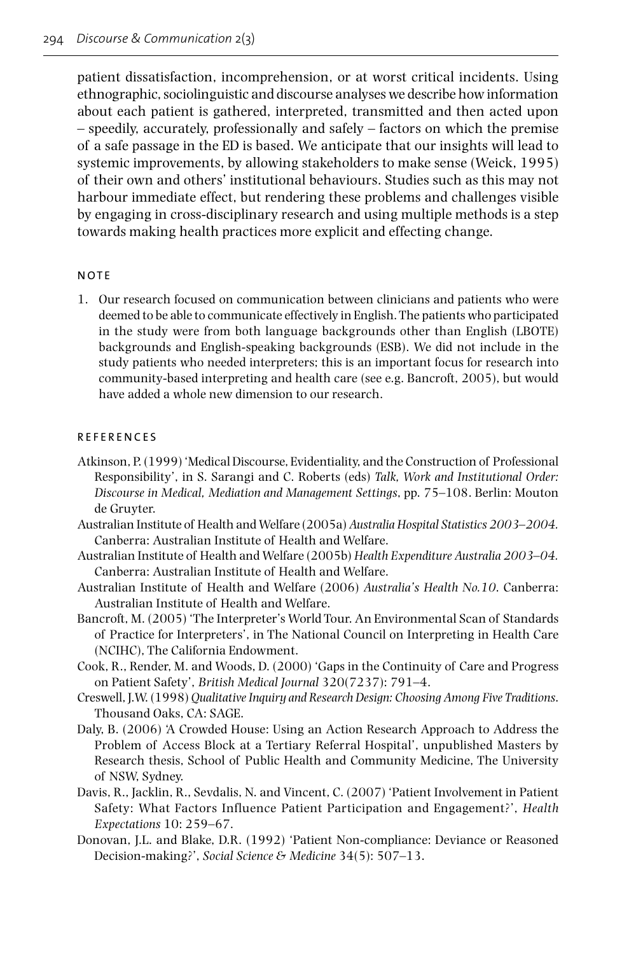patient dissatisfaction, incomprehension, or at worst critical incidents. Using ethnographic, sociolinguistic and discourse analyses we describe how information about each patient is gathered, interpreted, transmitted and then acted upon – speedily, accurately, professionally and safely – factors on which the premise of a safe passage in the ED is based. We anticipate that our insights will lead to systemic improvements, by allowing stakeholders to make sense (Weick, 1995) of their own and others' institutional behaviours. Studies such as this may not harbour immediate effect, but rendering these problems and challenges visible by engaging in cross-disciplinary research and using multiple methods is a step towards making health practices more explicit and effecting change.

#### NOTE

1. Our research focused on communication between clinicians and patients who were deemed to be able to communicate effectively in English. The patients who participated in the study were from both language backgrounds other than English (LBOTE) backgrounds and English-speaking backgrounds (ESB). We did not include in the study patients who needed interpreters; this is an important focus for research into community-based interpreting and health care (see e.g. Bancroft, 2005), but would have added a whole new dimension to our research.

#### **REFERENCES**

- Atkinson, P. (1999) 'Medical Discourse, Evidentiality, and the Construction of Professional Responsibility', in S. Sarangi and C. Roberts (eds) *Talk, Work and Institutional Order: Discourse in Medical, Mediation and Management Settings*, pp. 75–108. Berlin: Mouton de Gruyter.
- Australian Institute of Health and Welfare (2005a) *Australia Hospital Statistics 2003–2004.* Canberra: Australian Institute of Health and Welfare.
- Australian Institute of Health and Welfare (2005b) *Health Expenditure Australia 2003–04.*  Canberra: Australian Institute of Health and Welfare.
- Australian Institute of Health and Welfare (2006) *Australia's Health No.10*. Canberra: Australian Institute of Health and Welfare.
- Bancroft, M. (2005) 'The Interpreter's World Tour. An Environmental Scan of Standards of Practice for Interpreters', in The National Council on Interpreting in Health Care (NCIHC), The California Endowment.
- Cook, R., Render, M. and Woods, D. (2000) 'Gaps in the Continuity of Care and Progress on Patient Safety', *British Medical Journal* 320(7237): 791–4.
- Creswell, J.W. (1998) *Qualitative Inquiry and Research Design: Choosing Among Five Traditions*. Thousand Oaks, CA: SAGE.
- Daly, B. (2006) 'A Crowded House: Using an Action Research Approach to Address the Problem of Access Block at a Tertiary Referral Hospital', unpublished Masters by Research thesis, School of Public Health and Community Medicine, The University of NSW, Sydney.
- Davis, R., Jacklin, R., Sevdalis, N. and Vincent, C. (2007) 'Patient Involvement in Patient Safety: What Factors Influence Patient Participation and Engagement?', *Health Expectations* 10: 259–67.
- Donovan, J.L. and Blake, D.R. (1992) 'Patient Non-compliance: Deviance or Reasoned Decision-making?', *Social Science & Medicine* 34(5): 507–13.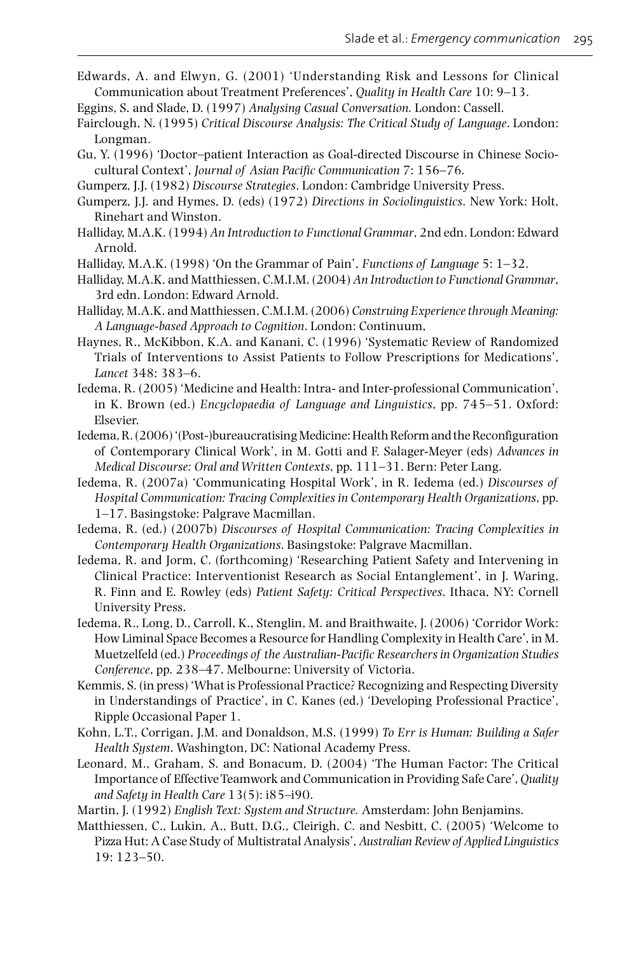- Edwards, A. and Elwyn, G. (2001) 'Understanding Risk and Lessons for Clinical Communication about Treatment Preferences', *Quality in Health Care* 10: 9–13.
- Eggins, S. and Slade, D. (1997) *Analysing Casual Conversation.* London: Cassell.
- Fairclough, N. (1995) *Critical Discourse Analysis: The Critical Study of Language*. London: Longman.
- Gu, Y. (1996) 'Doctor–patient Interaction as Goal-directed Discourse in Chinese Sociocultural Context', *Journal of Asian Pacific Communication* 7: 156–76*.*
- Gumperz, J.J. (1982) *Discourse Strategies*. London: Cambridge University Press.
- Gumperz, J.J. and Hymes, D. (eds) (1972) *Directions in Sociolinguistics*. New York: Holt, Rinehart and Winston.
- Halliday, M.A.K. (1994) *An Introduction to Functional Grammar*, 2nd edn. London: Edward Arnold.
- Halliday, M.A.K. (1998) 'On the Grammar of Pain', *Functions of Language* 5: 1–32.
- Halliday, M.A.K. and Matthiessen, C.M.I.M. (2004) *An Introduction to Functional Grammar*, 3rd edn. London: Edward Arnold.
- Halliday, M.A.K. and Matthiessen, C.M.I.M. (2006) *Construing Experience through Meaning: A Language-based Approach to Cognition*. London: Continuum,
- Haynes, R., McKibbon, K.A. and Kanani, C. (1996) 'Systematic Review of Randomized Trials of Interventions to Assist Patients to Follow Prescriptions for Medications', *Lancet* 348: 383–6.
- Iedema, R. (2005) 'Medicine and Health: Intra- and Inter-professional Communication', in K. Brown (ed.) *Encyclopaedia of Language and Linguistics*, pp. 745–51. Oxford: Elsevier.
- Iedema, R. (2006) '(Post-)bureaucratising Medicine: Health Reform and the Reconfiguration of Contemporary Clinical Work', in M. Gotti and F. Salager-Meyer (eds) *Advances in Medical Discourse: Oral and Written Contexts*, pp. 111–31. Bern: Peter Lang.
- Iedema, R. (2007a) 'Communicating Hospital Work', in R. Iedema (ed.) *Discourses of Hospital Communication: Tracing Complexities in Contemporary Health Organizations*, pp. 1–17. Basingstoke: Palgrave Macmillan.
- Iedema, R. (ed.) (2007b) *Discourses of Hospital Communication: Tracing Complexities in Contemporary Health Organizations*. Basingstoke: Palgrave Macmillan.
- Iedema, R. and Jorm, C. (forthcoming) 'Researching Patient Safety and Intervening in Clinical Practice: Interventionist Research as Social Entanglement', in J. Waring, R. Finn and E. Rowley (eds) *Patient Safety: Critical Perspectives*. Ithaca, NY: Cornell University Press.
- Iedema, R., Long, D., Carroll, K., Stenglin, M. and Braithwaite, J. (2006) 'Corridor Work: How Liminal Space Becomes a Resource for Handling Complexity in Health Care', in M. Muetzelfeld (ed.) *Proceedings of the Australian-Pacific Researchers in Organization Studies Conference*, pp. 238–47. Melbourne: University of Victoria.
- Kemmis, S. (in press) 'What is Professional Practice? Recognizing and Respecting Diversity in Understandings of Practice', in C. Kanes (ed.) 'Developing Professional Practice', Ripple Occasional Paper 1.
- Kohn, L.T., Corrigan, J.M. and Donaldson, M.S. (1999) *To Err is Human: Building a Safer Health System*. Washington, DC: National Academy Press.
- Leonard, M., Graham, S. and Bonacum, D. (2004) 'The Human Factor: The Critical Importance of Effective Teamwork and Communication in Providing Safe Care', *Quality and Safety in Health Care* 13(5): i85–i90.

Martin, J. (1992) *English Text: System and Structure.* Amsterdam: John Benjamins.

Matthiessen, C., Lukin, A., Butt, D.G., Cleirigh, C. and Nesbitt, C. (2005) 'Welcome to Pizza Hut: A Case Study of Multistratal Analysis', *Australian Review of Applied Linguistics* 19: 123–50.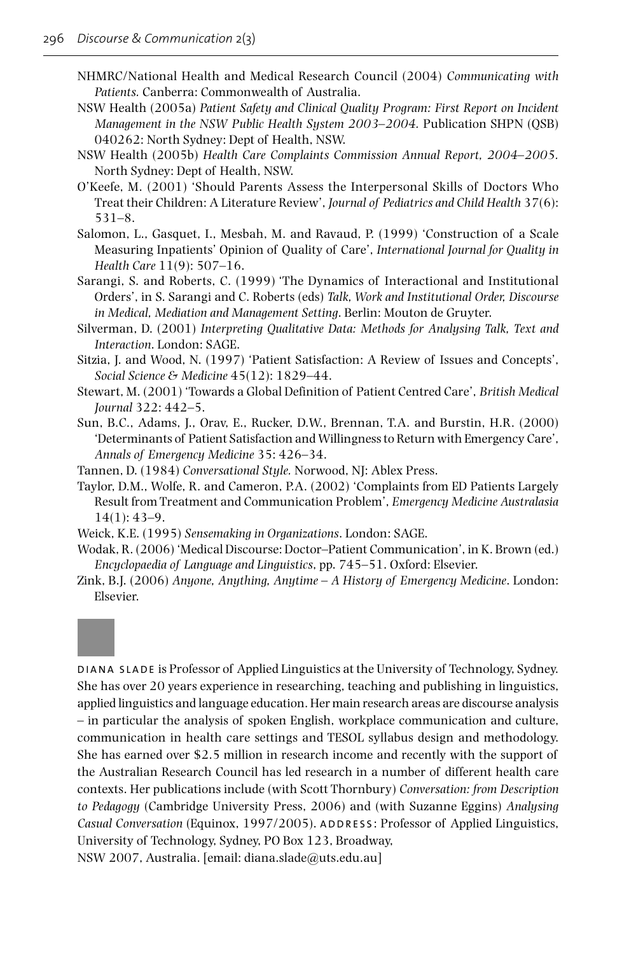- NHMRC/National Health and Medical Research Council (2004) *Communicating with Patients.* Canberra: Commonwealth of Australia.
- NSW Health (2005a) *Patient Safety and Clinical Quality Program: First Report on Incident Management in the NSW Public Health System 2003–2004.* Publication SHPN (QSB) 040262: North Sydney: Dept of Health, NSW.
- NSW Health (2005b) *Health Care Complaints Commission Annual Report, 2004–2005.* North Sydney: Dept of Health, NSW.
- O'Keefe, M. (2001) 'Should Parents Assess the Interpersonal Skills of Doctors Who Treat their Children: A Literature Review', *Journal of Pediatrics and Child Health* 37(6): 531–8.
- Salomon, L., Gasquet, I., Mesbah, M. and Ravaud, P. (1999) 'Construction of a Scale Measuring Inpatients' Opinion of Quality of Care', *International Journal for Quality in Health Care* 11(9): 507–16.
- Sarangi, S. and Roberts, C. (1999) 'The Dynamics of Interactional and Institutional Orders', in S. Sarangi and C. Roberts (eds) *Talk, Work and Institutional Order, Discourse in Medical, Mediation and Management Setting*. Berlin: Mouton de Gruyter.
- Silverman, D. (2001) *Interpreting Qualitative Data: Methods for Analysing Talk, Text and Interaction*. London: SAGE.
- Sitzia, J. and Wood, N. (1997) 'Patient Satisfaction: A Review of Issues and Concepts', *Social Science & Medicine* 45(12): 1829–44.
- Stewart, M. (2001) 'Towards a Global Definition of Patient Centred Care', *British Medical Journal* 322: 442–5.
- Sun, B.C., Adams, J., Orav, E., Rucker, D.W., Brennan, T.A. and Burstin, H.R. (2000) 'Determinants of Patient Satisfaction and Willingness to Return with Emergency Care', *Annals of Emergency Medicine* 35: 426–34.
- Tannen, D. (1984) *Conversational Style.* Norwood, NJ: Ablex Press.
- Taylor, D.M., Wolfe, R. and Cameron, P.A. (2002) 'Complaints from ED Patients Largely Result from Treatment and Communication Problem', *Emergency Medicine Australasia*  14(1): 43–9.
- Weick, K.E. (1995) *Sensemaking in Organizations*. London: SAGE.
- Wodak, R. (2006) 'Medical Discourse: Doctor–Patient Communication', in K. Brown (ed.) *Encyclopaedia of Language and Linguistics*, pp. 745–51. Oxford: Elsevier.
- Zink, B.J. (2006) *Anyone, Anything, Anytime A History of Emergency Medicine*. London: Elsevier.

DIANA SLADE is Professor of Applied Linguistics at the University of Technology, Sydney. She has over 20 years experience in researching, teaching and publishing in linguistics, applied linguistics and language education. Her main research areas are discourse analysis – in particular the analysis of spoken English, workplace communication and culture, communication in health care settings and TESOL syllabus design and methodology. She has earned over \$2.5 million in research income and recently with the support of the Australian Research Council has led research in a number of different health care contexts. Her publications include (with Scott Thornbury) *Conversation: from Description to Pedagogy* (Cambridge University Press, 2006) and (with Suzanne Eggins) *Analysing Casual Conversation* (Equinox, 1997/2005). ADDRESS : Professor of Applied Linguistics, University of Technology, Sydney, PO Box 123, Broadway, NSW 2007, Australia. [email: diana.slade@uts.edu.au]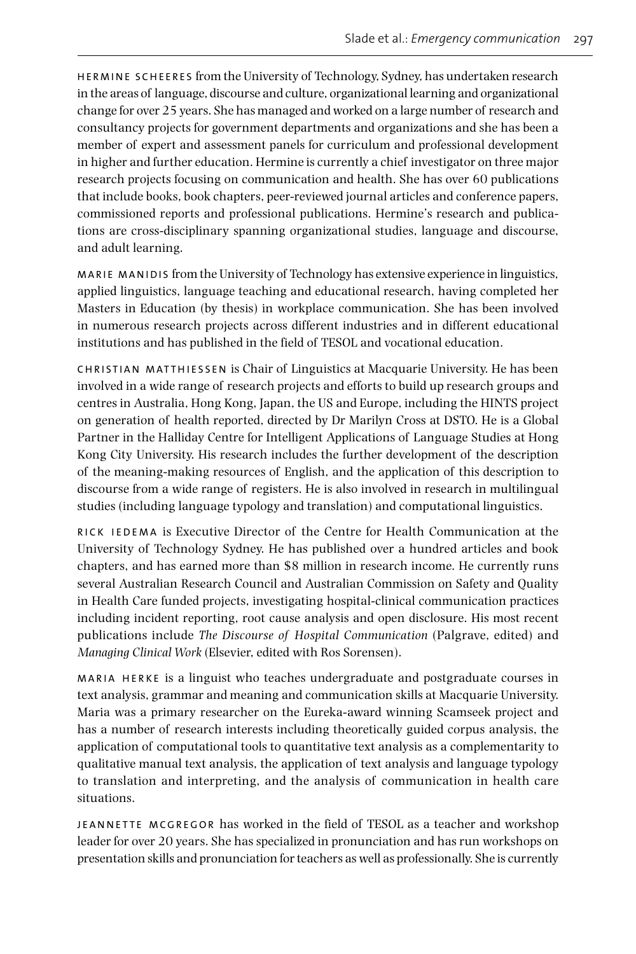HERMINE SCHEERES from the University of Technology, Sydney, has undertaken research in the areas of language, discourse and culture, organizational learning and organizational change for over 25 years. She has managed and worked on a large number of research and consultancy projects for government departments and organizations and she has been a member of expert and assessment panels for curriculum and professional development in higher and further education. Hermine is currently a chief investigator on three major research projects focusing on communication and health. She has over 60 publications that include books, book chapters, peer-reviewed journal articles and conference papers, commissioned reports and professional publications. Hermine's research and publications are cross-disciplinary spanning organizational studies, language and discourse, and adult learning.

MARIE MANIDIS from the University of Technology has extensive experience in linguistics, applied linguistics, language teaching and educational research, having completed her Masters in Education (by thesis) in workplace communication. She has been involved in numerous research projects across different industries and in different educational institutions and has published in the field of TESOL and vocational education.

CHRISTIAN MATTHIESSEN is Chair of Linguistics at Macquarie University. He has been involved in a wide range of research projects and efforts to build up research groups and centres in Australia, Hong Kong, Japan, the US and Europe, including the HINTS project on generation of health reported, directed by Dr Marilyn Cross at DSTO. He is a Global Partner in the Halliday Centre for Intelligent Applications of Language Studies at Hong Kong City University. His research includes the further development of the description of the meaning-making resources of English, and the application of this description to discourse from a wide range of registers. He is also involved in research in multilingual studies (including language typology and translation) and computational linguistics.

RICK IEDEMA is Executive Director of the Centre for Health Communication at the University of Technology Sydney. He has published over a hundred articles and book chapters, and has earned more than \$8 million in research income. He currently runs several Australian Research Council and Australian Commission on Safety and Quality in Health Care funded projects, investigating hospital-clinical communication practices including incident reporting, root cause analysis and open disclosure. His most recent publications include *The Discourse of Hospital Communication* (Palgrave, edited) and *Managing Clinical Work* (Elsevier, edited with Ros Sorensen).

MARIA HERKE is a linguist who teaches undergraduate and postgraduate courses in text analysis, grammar and meaning and communication skills at Macquarie University. Maria was a primary researcher on the Eureka-award winning Scamseek project and has a number of research interests including theoretically guided corpus analysis, the application of computational tools to quantitative text analysis as a complementarity to qualitative manual text analysis, the application of text analysis and language typology to translation and interpreting, and the analysis of communication in health care situations.

JEANNETTE MCGREGOR has worked in the field of TESOL as a teacher and workshop leader for over 20 years. She has specialized in pronunciation and has run workshops on presentation skills and pronunciation for teachers as well as professionally. She is currently